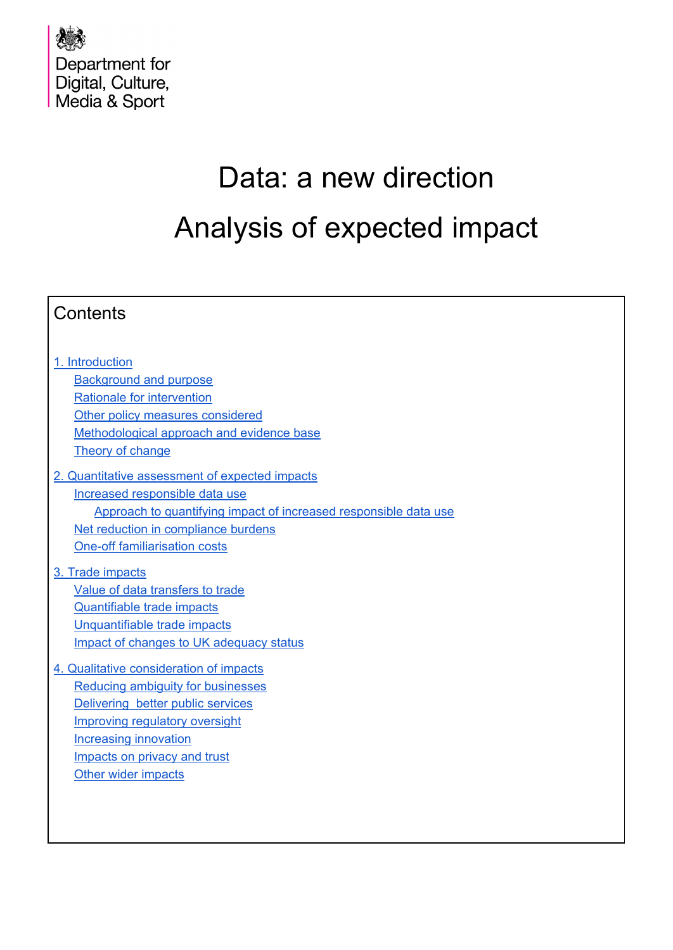

# Data: a new direction Analysis of expected impact

| Contents                                                         |
|------------------------------------------------------------------|
|                                                                  |
| 1. Introduction                                                  |
| <b>Background and purpose</b>                                    |
| Rationale for intervention                                       |
| Other policy measures considered                                 |
| Methodological approach and evidence base                        |
| Theory of change                                                 |
| 2. Quantitative assessment of expected impacts                   |
| Increased responsible data use                                   |
| Approach to quantifying impact of increased responsible data use |
| Net reduction in compliance burdens                              |
| <b>One-off familiarisation costs</b>                             |
|                                                                  |
| 3. Trade impacts                                                 |
| Value of data transfers to trade                                 |
| <b>Quantifiable trade impacts</b>                                |
| Unquantifiable trade impacts                                     |
| Impact of changes to UK adequacy status                          |
| 4. Qualitative consideration of impacts                          |
| Reducing ambiguity for businesses                                |
| Delivering better public services                                |
| <b>Improving regulatory oversight</b>                            |
| <b>Increasing innovation</b>                                     |
| Impacts on privacy and trust                                     |
| Other wider impacts                                              |
|                                                                  |
|                                                                  |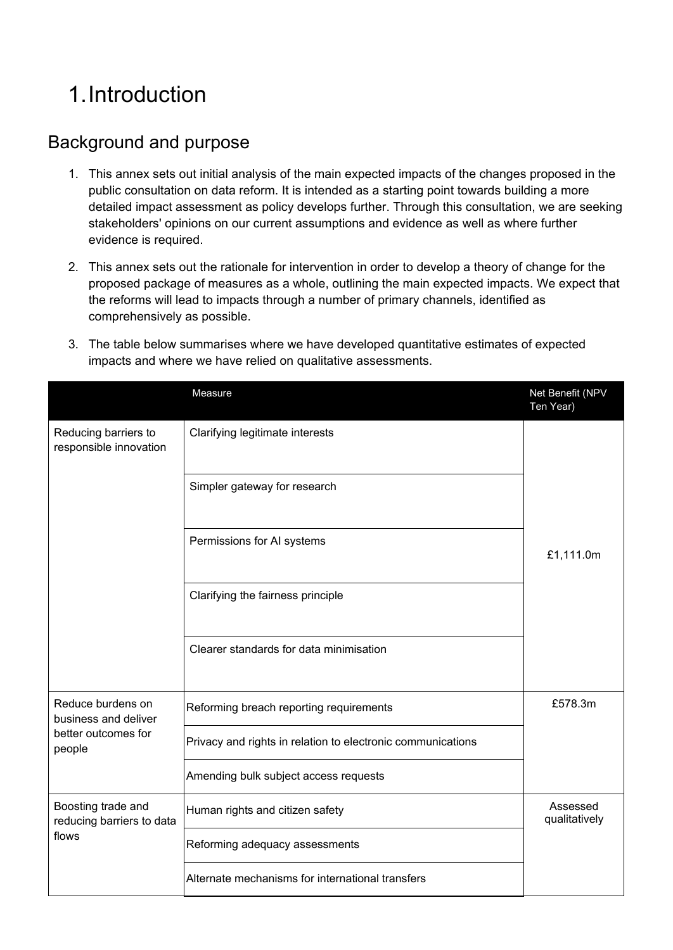## <span id="page-1-0"></span>1.Introduction

### <span id="page-1-1"></span>Background and purpose

- 1. This annex sets out initial analysis of the main expected impacts of the changes proposed in the public consultation on data reform. It is intended as a starting point towards building a more detailed impact assessment as policy develops further. Through this consultation, we are seeking stakeholders' opinions on our current assumptions and evidence as well as where further evidence is required.
- 2. This annex sets out the rationale for intervention in order to develop a theory of change for the proposed package of measures as a whole, outlining the main expected impacts. We expect that the reforms will lead to impacts through a number of primary channels, identified as comprehensively as possible.

| 3. The table below summarises where we have developed quantitative estimates of expected |
|------------------------------------------------------------------------------------------|
| impacts and where we have relied on qualitative assessments.                             |

|                                                 | Measure                                                     | Net Benefit (NPV<br>Ten Year) |
|-------------------------------------------------|-------------------------------------------------------------|-------------------------------|
| Reducing barriers to<br>responsible innovation  | Clarifying legitimate interests                             |                               |
|                                                 | Simpler gateway for research                                |                               |
|                                                 | Permissions for AI systems                                  | £1,111.0m                     |
|                                                 | Clarifying the fairness principle                           |                               |
|                                                 | Clearer standards for data minimisation                     |                               |
| Reduce burdens on<br>business and deliver       | Reforming breach reporting requirements                     | £578.3m                       |
| better outcomes for<br>people                   | Privacy and rights in relation to electronic communications |                               |
|                                                 | Amending bulk subject access requests                       |                               |
| Boosting trade and<br>reducing barriers to data | Human rights and citizen safety                             | Assessed<br>qualitatively     |
| flows                                           | Reforming adequacy assessments                              |                               |
|                                                 | Alternate mechanisms for international transfers            |                               |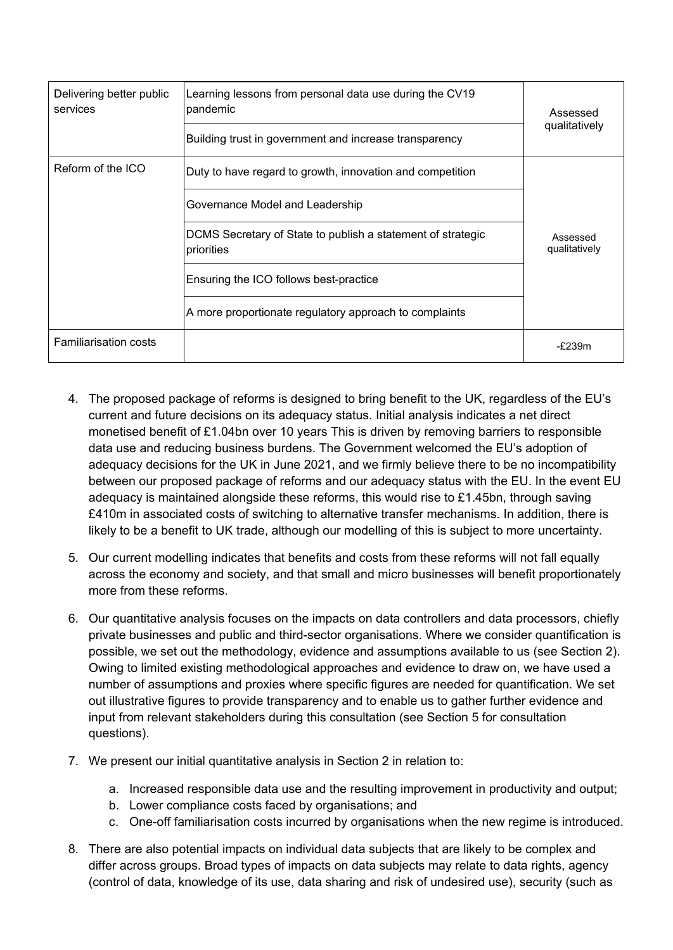| Delivering better public<br>services | Learning lessons from personal data use during the CV19<br>pandemic<br>Building trust in government and increase transparency |                           |
|--------------------------------------|-------------------------------------------------------------------------------------------------------------------------------|---------------------------|
|                                      |                                                                                                                               |                           |
| Reform of the ICO                    | Duty to have regard to growth, innovation and competition                                                                     |                           |
|                                      |                                                                                                                               |                           |
|                                      | DCMS Secretary of State to publish a statement of strategic<br>priorities                                                     | Assessed<br>qualitatively |
|                                      | Ensuring the ICO follows best-practice                                                                                        |                           |
|                                      | A more proportionate regulatory approach to complaints                                                                        |                           |
| <b>Familiarisation costs</b>         |                                                                                                                               | $-F239m$                  |

- 4. The proposed package of reforms is designed to bring benefit to the UK, regardless of the EU's current and future decisions on its adequacy status. Initial analysis indicates a net direct monetised benefit of £1.04bn over 10 years This is driven by removing barriers to responsible data use and reducing business burdens. The Government welcomed the EU's adoption of adequacy decisions for the UK in June 2021, and we firmly believe there to be no incompatibility between our proposed package of reforms and our adequacy status with the EU. In the event EU adequacy is maintained alongside these reforms, this would rise to £1.45bn, through saving £410m in associated costs of switching to alternative transfer mechanisms. In addition, there is likely to be a benefit to UK trade, although our modelling of this is subject to more uncertainty.
- 5. Our current modelling indicates that benefits and costs from these reforms will not fall equally across the economy and society, and that small and micro businesses will benefit proportionately more from these reforms.
- 6. Our quantitative analysis focuses on the impacts on data controllers and data processors, chiefly private businesses and public and third-sector organisations. Where we consider quantification is possible, we set out the methodology, evidence and assumptions available to us (see Section 2). Owing to limited existing methodological approaches and evidence to draw on, we have used a number of assumptions and proxies where specific figures are needed for quantification. We set out illustrative figures to provide transparency and to enable us to gather further evidence and input from relevant stakeholders during this consultation (see Section 5 for consultation questions).
- 7. We present our initial quantitative analysis in Section 2 in relation to:
	- a. Increased responsible data use and the resulting improvement in productivity and output;
	- b. Lower compliance costs faced by organisations; and
	- c. One-off familiarisation costs incurred by organisations when the new regime is introduced.
- 8. There are also potential impacts on individual data subjects that are likely to be complex and differ across groups. Broad types of impacts on data subjects may relate to data rights, agency (control of data, knowledge of its use, data sharing and risk of undesired use), security (such as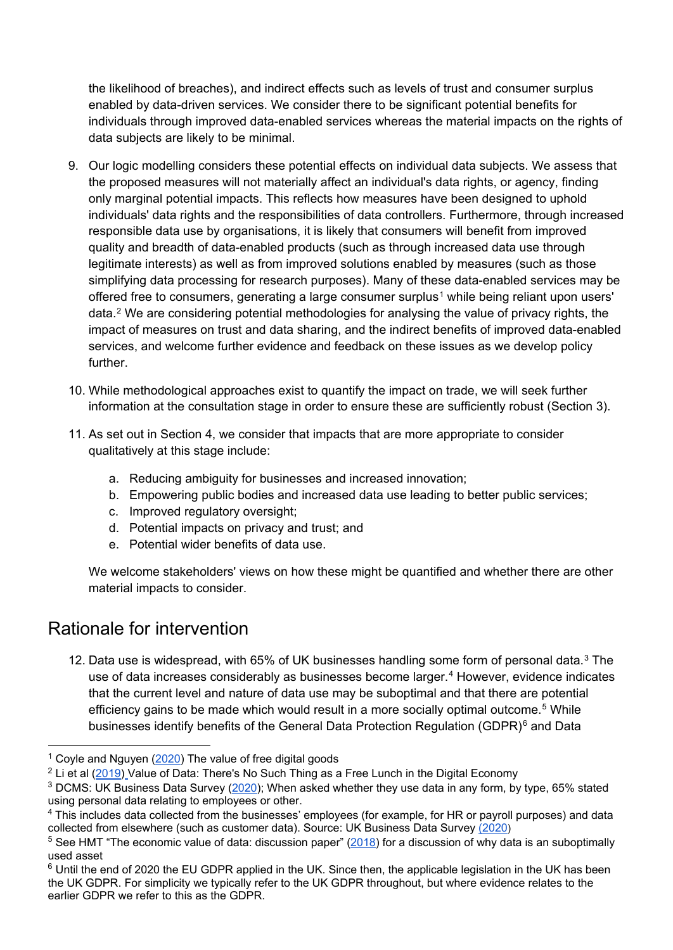the likelihood of breaches), and indirect effects such as levels of trust and consumer surplus enabled by data-driven services. We consider there to be significant potential benefits for individuals through improved data-enabled services whereas the material impacts on the rights of data subjects are likely to be minimal.

- 9. Our logic modelling considers these potential effects on individual data subjects. We assess that the proposed measures will not materially affect an individual's data rights, or agency, finding only marginal potential impacts. This reflects how measures have been designed to uphold individuals' data rights and the responsibilities of data controllers. Furthermore, through increased responsible data use by organisations, it is likely that consumers will benefit from improved quality and breadth of data-enabled products (such as through increased data use through legitimate interests) as well as from improved solutions enabled by measures (such as those simplifying data processing for research purposes). Many of these data-enabled services may be offered free to consumers, generating a large consumer surplus<sup>[1](#page-3-1)</sup> while being reliant upon users' data.[2](#page-3-2) We are considering potential methodologies for analysing the value of privacy rights, the impact of measures on trust and data sharing, and the indirect benefits of improved data-enabled services, and welcome further evidence and feedback on these issues as we develop policy further.
- 10. While methodological approaches exist to quantify the impact on trade, we will seek further information at the consultation stage in order to ensure these are sufficiently robust (Section 3).
- 11. As set out in Section 4, we consider that impacts that are more appropriate to consider qualitatively at this stage include:
	- a. Reducing ambiguity for businesses and increased innovation;
	- b. Empowering public bodies and increased data use leading to better public services;
	- c. Improved regulatory oversight;
	- d. Potential impacts on privacy and trust; and
	- e. Potential wider benefits of data use.

We welcome stakeholders' views on how these might be quantified and whether there are other material impacts to consider.

### <span id="page-3-0"></span>Rationale for intervention

12. Data use is widespread, with 65% of UK businesses handling some form of personal data.<sup>[3](#page-3-3)</sup> The use of data increases considerably as businesses become larger.<sup>[4](#page-3-4)</sup> However, evidence indicates that the current level and nature of data use may be suboptimal and that there are potential efficiency gains to be made which would result in a more socially optimal outcome.<sup>[5](#page-3-5)</sup> While businesses identify benefits of the General Data Protection Regulation (GDPR) $6$  and Data

<span id="page-3-1"></span> $1$  Coyle and Nguyen ( $2020$ ) The value of free digital goods

<span id="page-3-2"></span> $2$  Li et al [\(2019\)](https://ideas.repec.org/p/eti/dpaper/19022.html) Value of Data: There's No Such Thing as a Free Lunch in the Digital Economy

<span id="page-3-3"></span><sup>3</sup> DCMS: UK Business Data Survey [\(2020\)](https://www.gov.uk/government/collections/ad-hoc-statistical-publications-list--2); When asked whether they use data in any form, by type, 65% stated using personal data relating to employees or other.

<span id="page-3-4"></span><sup>&</sup>lt;sup>4</sup> This includes data collected from the businesses' employees (for example, for HR or payroll purposes) and data collected from elsewhere (such as customer data). Source: UK Business Data Survey [\(2020\)](https://www.gov.uk/government/statistics/uk-business-data-survey-2020)

<span id="page-3-5"></span><sup>&</sup>lt;sup>5</sup> See HMT "The economic value of data: discussion paper" [\(2018\)](https://assets.publishing.service.gov.uk/government/uploads/system/uploads/attachment_data/file/731349/20180730_HMT_Discussion_Paper_-_The_Economic_Value_of_Data.pdf) for a discussion of why data is an suboptimally used asset

<span id="page-3-6"></span><sup>&</sup>lt;sup>6</sup> Until the end of 2020 the EU GDPR applied in the UK. Since then, the applicable legislation in the UK has been the UK GDPR. For simplicity we typically refer to the UK GDPR throughout, but where evidence relates to the earlier GDPR we refer to this as the GDPR.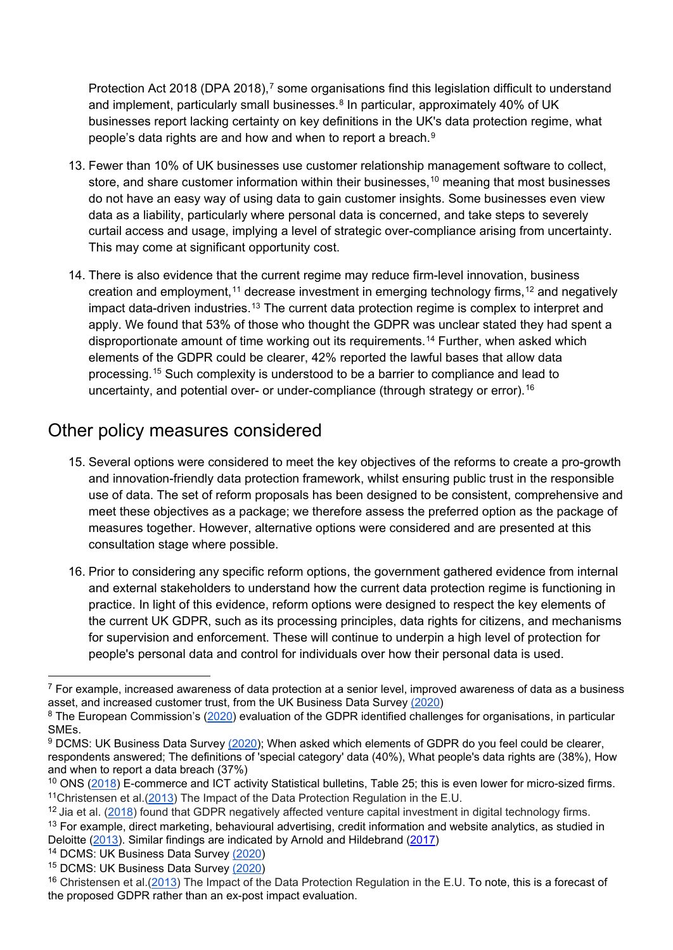Protection Act 2018 (DPA 2018),<sup>[7](#page-4-1)</sup> some organisations find this legislation difficult to understand and implement, particularly small businesses.<sup>[8](#page-4-2)</sup> In particular, approximately 40% of UK businesses report lacking certainty on key definitions in the UK's data protection regime, what people's data rights are and how and when to report a breach.[9](#page-4-3)

- 13. Fewer than 10% of UK businesses use customer relationship management software to collect, store, and share customer information within their businesses,<sup>[10](#page-4-4)</sup> meaning that most businesses do not have an easy way of using data to gain customer insights. Some businesses even view data as a liability, particularly where personal data is concerned, and take steps to severely curtail access and usage, implying a level of strategic over-compliance arising from uncertainty. This may come at significant opportunity cost.
- 14. There is also evidence that the current regime may reduce firm-level innovation, business creation and employment,<sup>[11](#page-4-5)</sup> decrease investment in emerging technology firms,<sup>[12](#page-4-6)</sup> and negatively impact data-driven industries.<sup>[13](#page-4-7)</sup> The current data protection regime is complex to interpret and apply. We found that 53% of those who thought the GDPR was unclear stated they had spent a disproportionate amount of time working out its requirements.<sup>[14](#page-4-8)</sup> Further, when asked which elements of the GDPR could be clearer, 42% reported the lawful bases that allow data processing.[15](#page-4-9) Such complexity is understood to be a barrier to compliance and lead to uncertainty, and potential over- or under-compliance (through strategy or error).<sup>[16](#page-4-10)</sup>

#### <span id="page-4-0"></span>Other policy measures considered

- 15. Several options were considered to meet the key objectives of the reforms to create a pro-growth and innovation-friendly data protection framework, whilst ensuring public trust in the responsible use of data. The set of reform proposals has been designed to be consistent, comprehensive and meet these objectives as a package; we therefore assess the preferred option as the package of measures together. However, alternative options were considered and are presented at this consultation stage where possible.
- 16. Prior to considering any specific reform options, the government gathered evidence from internal and external stakeholders to understand how the current data protection regime is functioning in practice. In light of this evidence, reform options were designed to respect the key elements of the current UK GDPR, such as its processing principles, data rights for citizens, and mechanisms for supervision and enforcement. These will continue to underpin a high level of protection for people's personal data and control for individuals over how their personal data is used.

<span id="page-4-1"></span> $7$  For example, increased awareness of data protection at a senior level, improved awareness of data as a business asset, and increased customer trust, from the UK Business Data Survey [\(2020\)](https://www.gov.uk/government/statistics/uk-business-data-survey-2020)

<span id="page-4-2"></span><sup>&</sup>lt;sup>8</sup> The European Commission's [\(2020\)](https://ec.europa.eu/commission/presscorner/detail/en/ip_20_1163) [evaluation of the GDPR](https://ec.europa.eu/info/law/law-topic/data-protection/communication-two-years-application-general-data-protection-regulation_en) identified challenges for organisations, in particular SMEs.

<span id="page-4-3"></span><sup>&</sup>lt;sup>9</sup> DCMS: UK Business Data Survey [\(2020\)](https://www.gov.uk/government/collections/ad-hoc-statistical-publications-list--2); When asked which elements of GDPR do you feel could be clearer, respondents answered; The definitions of 'special category' data (40%), What people's data rights are (38%), How and when to report a data breach (37%)

<span id="page-4-4"></span><sup>&</sup>lt;sup>10</sup> ONS [\(2018\)](https://www.ons.gov.uk/businessindustryandtrade/itandinternetindustry/bulletins/ecommerceandictactivity/2018) E-commerce and ICT activity Statistical bulletins, Table 25; this is even lower for micro-sized firms. 11Christensen et al.[\(2013\)](http://citeseerx.ist.psu.edu/viewdoc/download?doi=10.1.1.657.138&rep=rep1&type=pdf) The Impact of the Data Protection Regulation in the E.U.

<span id="page-4-7"></span><span id="page-4-6"></span><span id="page-4-5"></span><sup>&</sup>lt;sup>12</sup> Jia et al. [\(2018\)](https://www.nber.org/papers/w25248) found that GDPR negatively affected venture capital investment in digital technology firms. <sup>13</sup> For example, direct marketing, behavioural advertising, credit information and website analytics, as studied in Deloitte [\(2013\)](https://www2.deloitte.com/content/dam/Deloitte/uk/Documents/about-deloitte/deloitte-uk-european-data-protection-tmt.pdf). Similar findings are indicated by Arnold and Hildebrand [\(2017\)](https://www.researchgate.net/publication/321805749_Study_on_the_economic_impact_of_the_ePrivacy-Regulation_provisions_on_online_advertising_and_ad-based_digital_business_models)

<span id="page-4-8"></span><sup>&</sup>lt;sup>14</sup> DCMS: UK Business Data Survey [\(2020\)](https://www.gov.uk/government/collections/ad-hoc-statistical-publications-list--2)

<span id="page-4-9"></span><sup>15</sup> DCMS: UK Business Data Survey [\(2020\)](https://www.gov.uk/government/collections/ad-hoc-statistical-publications-list--2)

<span id="page-4-10"></span><sup>&</sup>lt;sup>16</sup> Christensen et al.[\(2013\)](http://citeseerx.ist.psu.edu/viewdoc/download?doi=10.1.1.657.138&rep=rep1&type=pdf) The Impact of the Data Protection Regulation in the E.U. To note, this is a forecast of the proposed GDPR rather than an ex-post impact evaluation.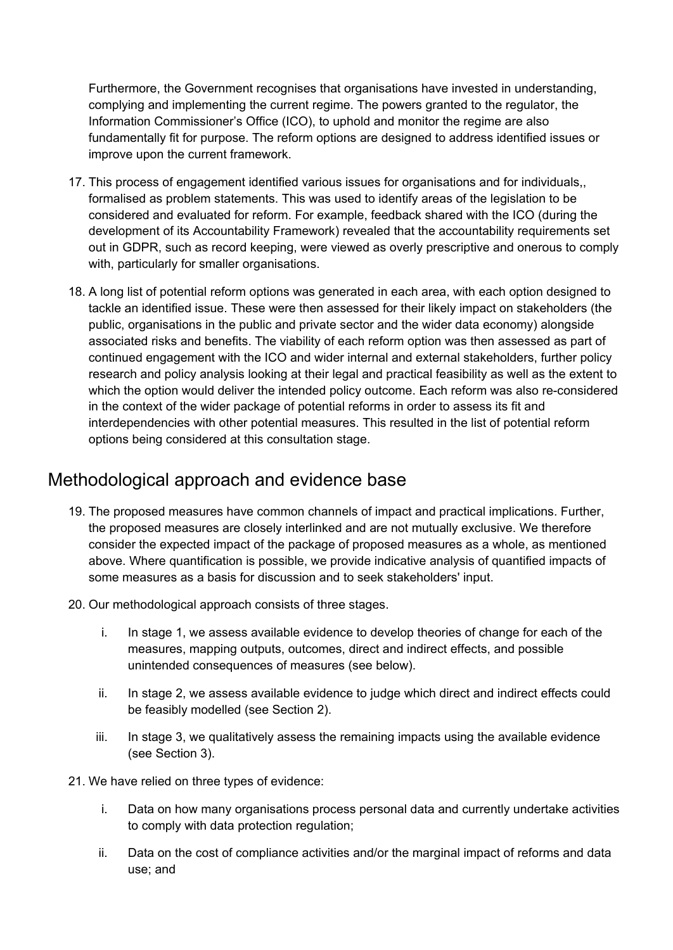Furthermore, the Government recognises that organisations have invested in understanding, complying and implementing the current regime. The powers granted to the regulator, the Information Commissioner's Office (ICO), to uphold and monitor the regime are also fundamentally fit for purpose. The reform options are designed to address identified issues or improve upon the current framework.

- 17. This process of engagement identified various issues for organisations and for individuals,, formalised as problem statements. This was used to identify areas of the legislation to be considered and evaluated for reform. For example, feedback shared with the ICO (during the development of its Accountability Framework) revealed that the accountability requirements set out in GDPR, such as record keeping, were viewed as overly prescriptive and onerous to comply with, particularly for smaller organisations.
- 18. A long list of potential reform options was generated in each area, with each option designed to tackle an identified issue. These were then assessed for their likely impact on stakeholders (the public, organisations in the public and private sector and the wider data economy) alongside associated risks and benefits. The viability of each reform option was then assessed as part of continued engagement with the ICO and wider internal and external stakeholders, further policy research and policy analysis looking at their legal and practical feasibility as well as the extent to which the option would deliver the intended policy outcome. Each reform was also re-considered in the context of the wider package of potential reforms in order to assess its fit and interdependencies with other potential measures. This resulted in the list of potential reform options being considered at this consultation stage.

#### <span id="page-5-0"></span>Methodological approach and evidence base

- 19. The proposed measures have common channels of impact and practical implications. Further, the proposed measures are closely interlinked and are not mutually exclusive. We therefore consider the expected impact of the package of proposed measures as a whole, as mentioned above. Where quantification is possible, we provide indicative analysis of quantified impacts of some measures as a basis for discussion and to seek stakeholders' input.
- 20. Our methodological approach consists of three stages.
	- i. In stage 1, we assess available evidence to develop theories of change for each of the measures, mapping outputs, outcomes, direct and indirect effects, and possible unintended consequences of measures (see below).
	- ii. In stage 2, we assess available evidence to judge which direct and indirect effects could be feasibly modelled (see Section 2).
	- iii. In stage 3, we qualitatively assess the remaining impacts using the available evidence (see Section 3).
- 21. We have relied on three types of evidence:
	- i. Data on how many organisations process personal data and currently undertake activities to comply with data protection regulation;
	- ii. Data on the cost of compliance activities and/or the marginal impact of reforms and data use; and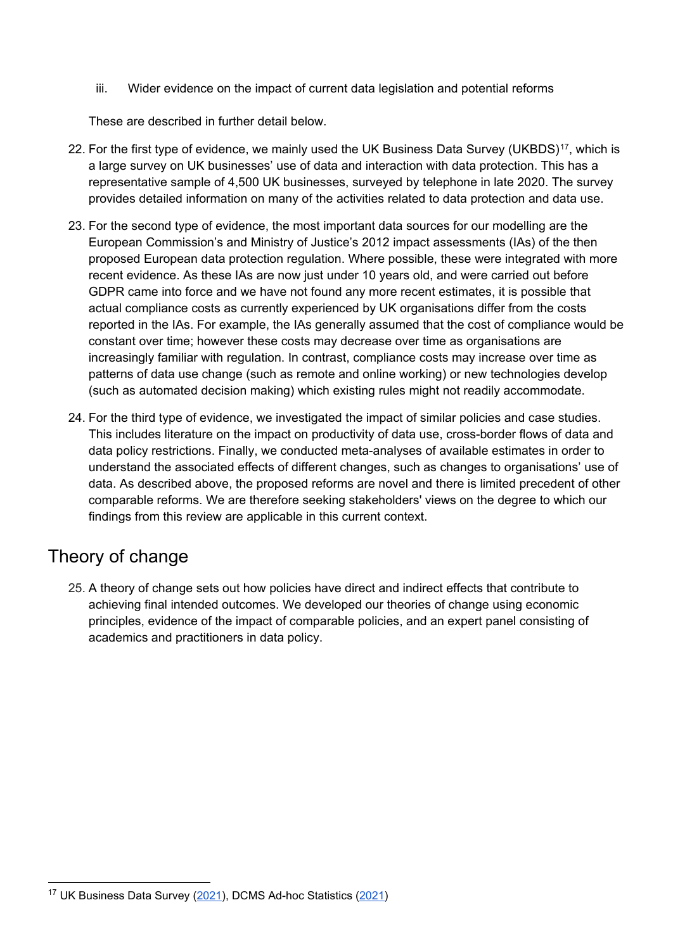iii. Wider evidence on the impact of current data legislation and potential reforms

These are described in further detail below.

- 22. For the first type of evidence, we mainly used the UK Business Data Survey (UKBDS)<sup>17</sup>, which is a large survey on UK businesses' use of data and interaction with data protection. This has a representative sample of 4,500 UK businesses, surveyed by telephone in late 2020. The survey provides detailed information on many of the activities related to data protection and data use.
- 23. For the second type of evidence, the most important data sources for our modelling are the European Commission's and Ministry of Justice's 2012 impact assessments (IAs) of the then proposed European data protection regulation. Where possible, these were integrated with more recent evidence. As these IAs are now just under 10 years old, and were carried out before GDPR came into force and we have not found any more recent estimates, it is possible that actual compliance costs as currently experienced by UK organisations differ from the costs reported in the IAs. For example, the IAs generally assumed that the cost of compliance would be constant over time; however these costs may decrease over time as organisations are increasingly familiar with regulation. In contrast, compliance costs may increase over time as patterns of data use change (such as remote and online working) or new technologies develop (such as automated decision making) which existing rules might not readily accommodate.
- 24. For the third type of evidence, we investigated the impact of similar policies and case studies. This includes literature on the impact on productivity of data use, cross-border flows of data and data policy restrictions. Finally, we conducted meta-analyses of available estimates in order to understand the associated effects of different changes, such as changes to organisations' use of data. As described above, the proposed reforms are novel and there is limited precedent of other comparable reforms. We are therefore seeking stakeholders' views on the degree to which our findings from this review are applicable in this current context.

### <span id="page-6-0"></span>Theory of change

25. A theory of change sets out how policies have direct and indirect effects that contribute to achieving final intended outcomes. We developed our theories of change using economic principles, evidence of the impact of comparable policies, and an expert panel consisting of academics and practitioners in data policy.

<span id="page-6-1"></span> <sup>17</sup> UK Business Data Survey [\(2021\)](https://www.gov.uk/government/statistics/uk-business-data-survey-2020), DCMS Ad-hoc Statistics [\(2021\)](https://www.gov.uk/government/collections/ad-hoc-statistical-publications-list--2#history)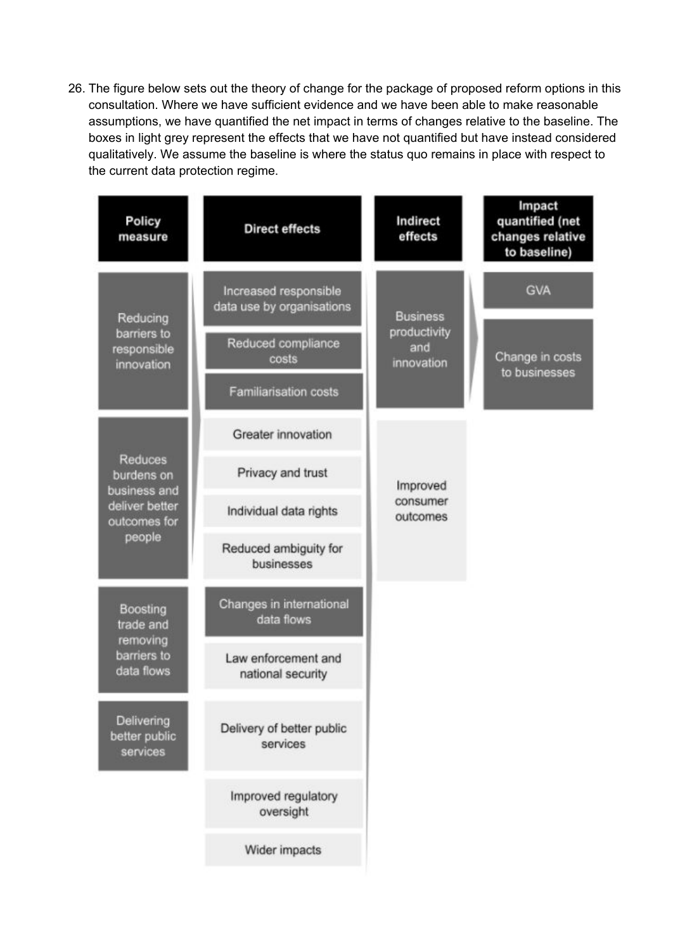26. The figure below sets out the theory of change for the package of proposed reform options in this consultation. Where we have sufficient evidence and we have been able to make reasonable assumptions, we have quantified the net impact in terms of changes relative to the baseline. The boxes in light grey represent the effects that we have not quantified but have instead considered qualitatively. We assume the baseline is where the status quo remains in place with respect to the current data protection regime.

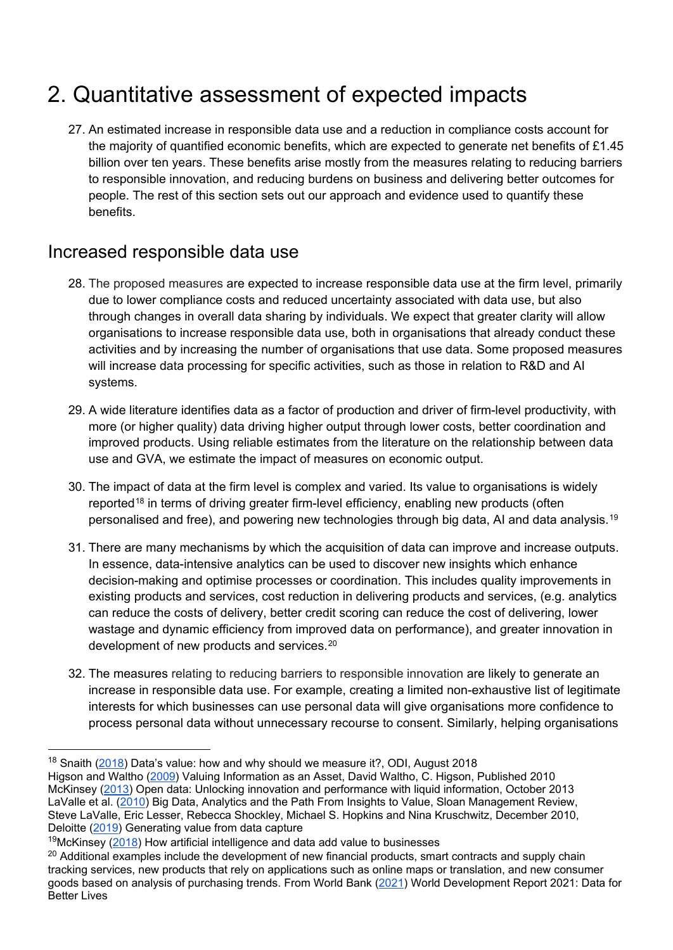## <span id="page-8-0"></span>2. Quantitative assessment of expected impacts

27. An estimated increase in responsible data use and a reduction in compliance costs account for the majority of quantified economic benefits, which are expected to generate net benefits of £1.45 billion over ten years. These benefits arise mostly from the measures relating to reducing barriers to responsible innovation, and reducing burdens on business and delivering better outcomes for people. The rest of this section sets out our approach and evidence used to quantify these benefits.

### <span id="page-8-1"></span>Increased responsible data use

- 28. The proposed measures are expected to increase responsible data use at the firm level, primarily due to lower compliance costs and reduced uncertainty associated with data use, but also through changes in overall data sharing by individuals. We expect that greater clarity will allow organisations to increase responsible data use, both in organisations that already conduct these activities and by increasing the number of organisations that use data. Some proposed measures will increase data processing for specific activities, such as those in relation to R&D and AI systems.
- 29. A wide literature identifies data as a factor of production and driver of firm-level productivity, with more (or higher quality) data driving higher output through lower costs, better coordination and improved products. Using reliable estimates from the literature on the relationship between data use and GVA, we estimate the impact of measures on economic output.
- 30. The impact of data at the firm level is complex and varied. Its value to organisations is widely reported<sup>[18](#page-8-2)</sup> in terms of driving greater firm-level efficiency, enabling new products (often personalised and free), and powering new technologies through big data, AI and data analysis.<sup>[19](#page-8-3)</sup>
- 31. There are many mechanisms by which the acquisition of data can improve and increase outputs. In essence, data-intensive analytics can be used to discover new insights which enhance decision-making and optimise processes or coordination. This includes quality improvements in existing products and services, cost reduction in delivering products and services, (e.g. analytics can reduce the costs of delivery, better credit scoring can reduce the cost of delivering, lower wastage and dynamic efficiency from improved data on performance), and greater innovation in development of new products and services.[20](#page-8-4)
- 32. The measures relating to reducing barriers to responsible innovation are likely to generate an increase in responsible data use. For example, creating a limited non-exhaustive list of legitimate interests for which businesses can use personal data will give organisations more confidence to process personal data without unnecessary recourse to consent. Similarly, helping organisations

<span id="page-8-2"></span><sup>&</sup>lt;sup>18</sup> Snaith [\(2018\)](https://theodi.org/article/datas-value-how-and-why-should-we-measure-it/) Data's value: how and why should we measure it?, ODI, August 2018

Higson and Waltho [\(2009\)](https://www.semanticscholar.org/paper/Valuing-Information-as-an-Asset-Waltho-Higson/31314c1879522d4a6a3d3c1e32360cbfd0ec5856) Valuing Information as an Asset, David Waltho, C. Higson, Published 2010 McKinsey [\(2013\)](https://www.mckinsey.com/business-functions/mckinsey-digital/our-insights/open-data-unlocking-innovation-and-performance-with-liquid-information) Open data: Unlocking innovation and performance with liquid information, October 2013 LaValle et al. [\(2010\)](https://sloanreview.mit.edu/article/big-data-analytics-and-the-path-from-insights-to-value/?gclid=Cj0KCQjw8IaGBhCHARIsAGIRRYqsr_fYhxYhSyo6a1exsnjt4zJB2He2kmrMQ37kA4k5HFbYyTiOrUAaAhoaEALw_wcB) Big Data, Analytics and the Path From Insights to Value, Sloan Management Review, Steve LaValle, Eric Lesser, Rebecca Shockley, Michael S. Hopkins and Nina Kruschwitz, December 2010, Deloitte [\(2019\)](https://www2.deloitte.com/ie/en/pages/deloitte-private/articles/generating-value-data-capture.html) Generating value from data capture

<span id="page-8-3"></span> $19$ McKinsey [\(2018\)](https://www.mckinsey.com/featured-insights/artificial-intelligence/how-artificial-intelligence-and-data-add-value-to-businesses) How artificial intelligence and data add value to businesses

<span id="page-8-4"></span><sup>&</sup>lt;sup>20</sup> Additional examples include the development of new financial products, smart contracts and supply chain tracking services, new products that rely on applications such as online maps or translation, and new consumer goods based on analysis of purchasing trends. From World Bank [\(2021\)](https://www.worldbank.org/en/publication/wdr2021) World Development Report 2021: Data for Better Lives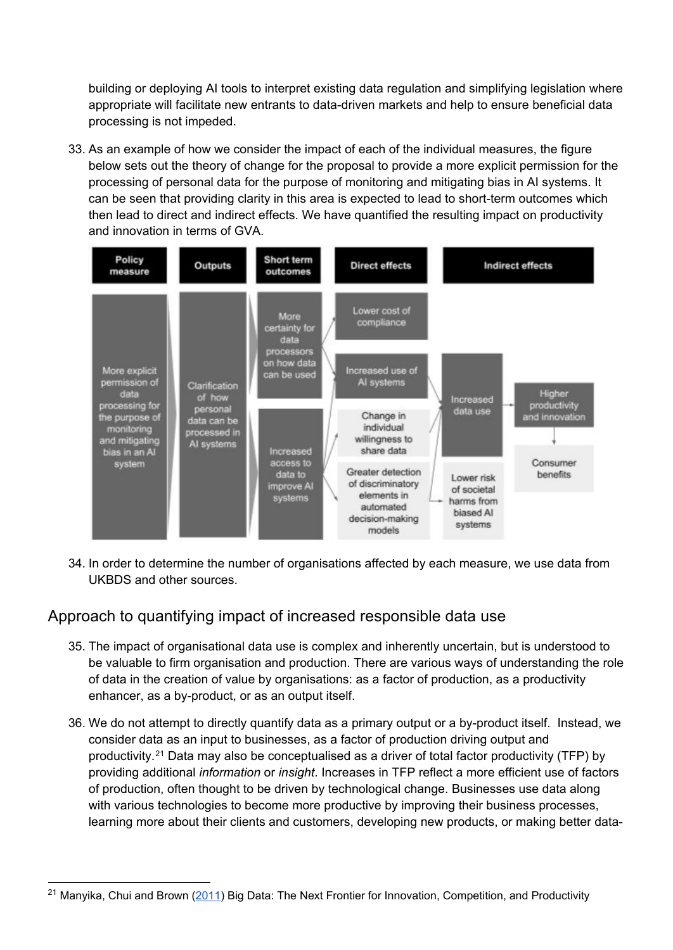building or deploying AI tools to interpret existing data regulation and simplifying legislation where appropriate will facilitate new entrants to data-driven markets and help to ensure beneficial data processing is not impeded.

33. As an example of how we consider the impact of each of the individual measures, the figure below sets out the theory of change for the proposal to provide a more explicit permission for the processing of personal data for the purpose of monitoring and mitigating bias in AI systems. It can be seen that providing clarity in this area is expected to lead to short-term outcomes which then lead to direct and indirect effects. We have quantified the resulting impact on productivity and innovation in terms of GVA.



34. In order to determine the number of organisations affected by each measure, we use data from UKBDS and other sources.

#### <span id="page-9-0"></span>Approach to quantifying impact of increased responsible data use

- 35. The impact of organisational data use is complex and inherently uncertain, but is understood to be valuable to firm organisation and production. There are various ways of understanding the role of data in the creation of value by organisations: as a factor of production, as a productivity enhancer, as a by-product, or as an output itself.
- 36. We do not attempt to directly quantify data as a primary output or a by-product itself. Instead, we consider data as an input to businesses, as a factor of production driving output and productivity.[21](#page-9-1) Data may also be conceptualised as a driver of total factor productivity (TFP) by providing additional *information* or *insight*. Increases in TFP reflect a more efficient use of factors of production, often thought to be driven by technological change. Businesses use data along with various technologies to become more productive by improving their business processes, learning more about their clients and customers, developing new products, or making better data-

<span id="page-9-1"></span><sup>&</sup>lt;sup>21</sup> Manyika, Chui and Brown ( $2011$ ) Big Data: The Next Frontier for Innovation, Competition, and Productivity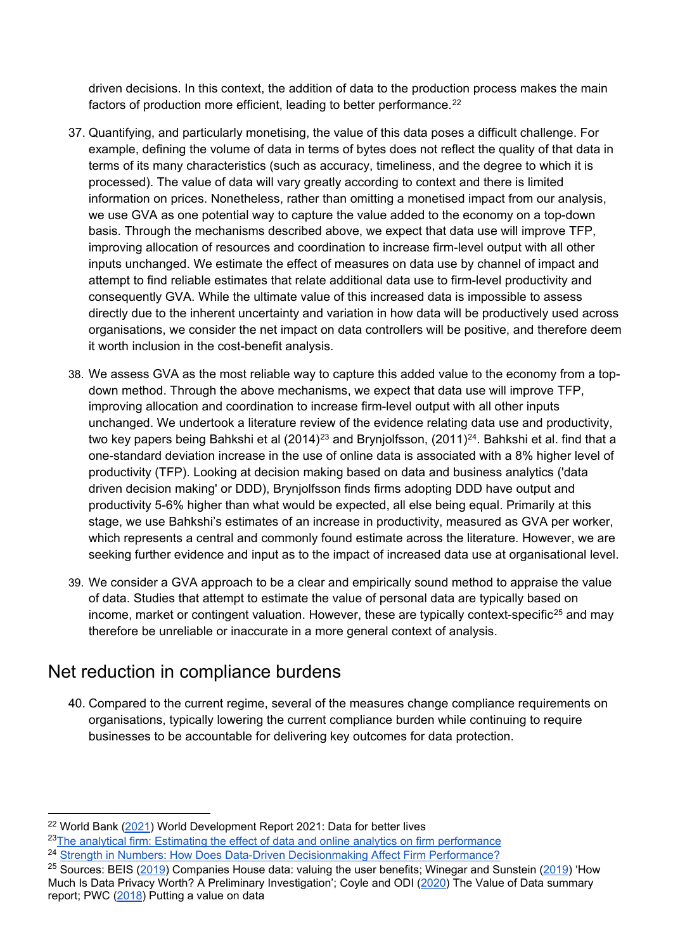driven decisions. In this context, the addition of data to the production process makes the main factors of production more efficient, leading to better performance.<sup>[22](#page-10-1)</sup>

- 37. Quantifying, and particularly monetising, the value of this data poses a difficult challenge. For example, defining the volume of data in terms of bytes does not reflect the quality of that data in terms of its many characteristics (such as accuracy, timeliness, and the degree to which it is processed). The value of data will vary greatly according to context and there is limited information on prices. Nonetheless, rather than omitting a monetised impact from our analysis, we use GVA as one potential way to capture the value added to the economy on a top-down basis. Through the mechanisms described above, we expect that data use will improve TFP, improving allocation of resources and coordination to increase firm-level output with all other inputs unchanged. We estimate the effect of measures on data use by channel of impact and attempt to find reliable estimates that relate additional data use to firm-level productivity and consequently GVA. While the ultimate value of this increased data is impossible to assess directly due to the inherent uncertainty and variation in how data will be productively used across organisations, we consider the net impact on data controllers will be positive, and therefore deem it worth inclusion in the cost-benefit analysis.
- 38. We assess GVA as the most reliable way to capture this added value to the economy from a topdown method. Through the above mechanisms, we expect that data use will improve TFP, improving allocation and coordination to increase firm-level output with all other inputs unchanged. We undertook a literature review of the evidence relating data use and productivity, two key papers being Bahkshi et al (2014)<sup>[23](#page-10-2)</sup> and Brynjolfsson, (2011)<sup>[24](#page-10-3)</sup>. Bahkshi et al. find that a one-standard deviation increase in the use of online data is associated with a 8% higher level of productivity (TFP). Looking at decision making based on data and business analytics ('data driven decision making' or DDD), Brynjolfsson finds firms adopting DDD have output and productivity 5-6% higher than what would be expected, all else being equal. Primarily at this stage, we use Bahkshi's estimates of an increase in productivity, measured as GVA per worker, which represents a central and commonly found estimate across the literature. However, we are seeking further evidence and input as to the impact of increased data use at organisational level.
- 39. We consider a GVA approach to be a clear and empirically sound method to appraise the value of data. Studies that attempt to estimate the value of personal data are typically based on income, market or contingent valuation. However, these are typically context-specific<sup>[25](#page-10-4)</sup> and may therefore be unreliable or inaccurate in a more general context of analysis.

### <span id="page-10-0"></span>Net reduction in compliance burdens

40. Compared to the current regime, several of the measures change compliance requirements on organisations, typically lowering the current compliance burden while continuing to require businesses to be accountable for delivering key outcomes for data protection.

- <span id="page-10-2"></span><sup>23</sup>The analytical firm: Estimating the effect of data and online analytics on firm performance
- <span id="page-10-3"></span><sup>24</sup> [Strength in Numbers: How Does Data-Driven Decisionmaking Affect Firm Performance?](https://papers.ssrn.com/sol3/papers.cfm?abstract_id=1819486)

<span id="page-10-1"></span><sup>&</sup>lt;sup>22</sup> World Bank [\(2021\)](https://www.worldbank.org/en/publication/wdr2021) World Development Report 2021: Data for better lives

<span id="page-10-4"></span><sup>&</sup>lt;sup>25</sup> Sources: BEIS [\(2019\)](https://papers.ssrn.com/sol3/papers.cfm?abstract_id=3413277) Companies House data: valuing the user benefits; Winegar and Sunstein (2019) 'How Much Is Data Privacy Worth? A Preliminary Investigation'; Coyle and ODI [\(2020\)](https://www.bennettinstitute.cam.ac.uk/media/uploads/files/Value_of_data_summary_report_26_Feb.pdf) The Value of Data summary report; PWC [\(2018\)](https://www.pwc.co.uk/data-analytics/documents/putting-value-on-data.pdf) Putting a value on data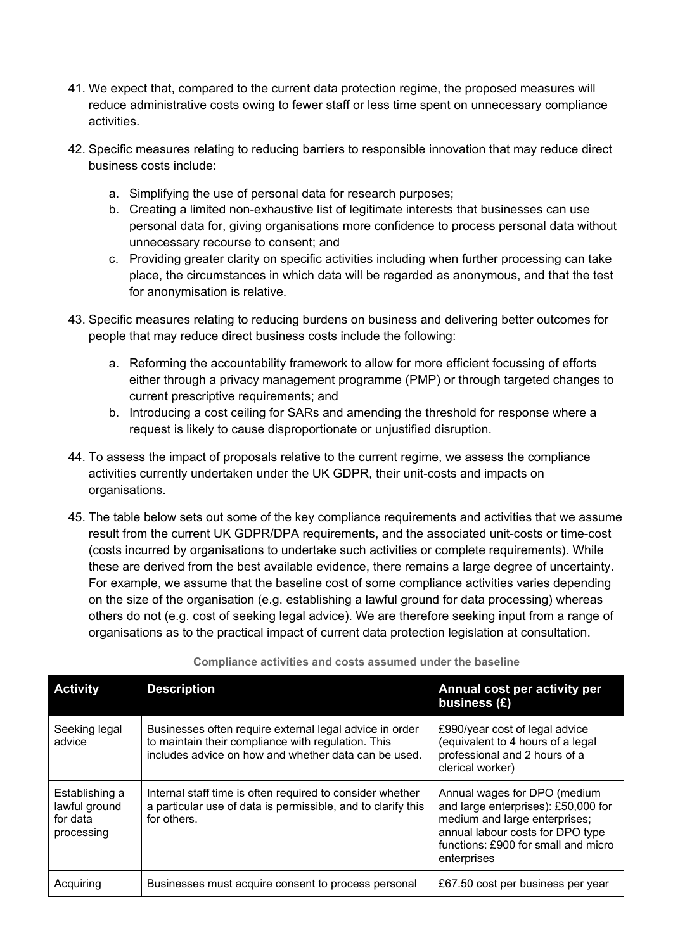- 41. We expect that, compared to the current data protection regime, the proposed measures will reduce administrative costs owing to fewer staff or less time spent on unnecessary compliance activities.
- 42. Specific measures relating to reducing barriers to responsible innovation that may reduce direct business costs include:
	- a. Simplifying the use of personal data for research purposes;
	- b. Creating a limited non-exhaustive list of legitimate interests that businesses can use personal data for, giving organisations more confidence to process personal data without unnecessary recourse to consent; and
	- c. Providing greater clarity on specific activities including when further processing can take place, the circumstances in which data will be regarded as anonymous, and that the test for anonymisation is relative.
- 43. Specific measures relating to reducing burdens on business and delivering better outcomes for people that may reduce direct business costs include the following:
	- a. Reforming the accountability framework to allow for more efficient focussing of efforts either through a privacy management programme (PMP) or through targeted changes to current prescriptive requirements; and
	- b. Introducing a cost ceiling for SARs and amending the threshold for response where a request is likely to cause disproportionate or unjustified disruption.
- 44. To assess the impact of proposals relative to the current regime, we assess the compliance activities currently undertaken under the UK GDPR, their unit-costs and impacts on organisations.
- 45. The table below sets out some of the key compliance requirements and activities that we assume result from the current UK GDPR/DPA requirements, and the associated unit-costs or time-cost (costs incurred by organisations to undertake such activities or complete requirements). While these are derived from the best available evidence, there remains a large degree of uncertainty. For example, we assume that the baseline cost of some compliance activities varies depending on the size of the organisation (e.g. establishing a lawful ground for data processing) whereas others do not (e.g. cost of seeking legal advice). We are therefore seeking input from a range of organisations as to the practical impact of current data protection legislation at consultation.

| <b>Activity</b>                                           | <b>Description</b>                                                                                                                                                    | Annual cost per activity per<br>business (£)                                                                                                                                                   |
|-----------------------------------------------------------|-----------------------------------------------------------------------------------------------------------------------------------------------------------------------|------------------------------------------------------------------------------------------------------------------------------------------------------------------------------------------------|
| Seeking legal<br>advice                                   | Businesses often require external legal advice in order<br>to maintain their compliance with regulation. This<br>includes advice on how and whether data can be used. | £990/year cost of legal advice<br>(equivalent to 4 hours of a legal<br>professional and 2 hours of a<br>clerical worker)                                                                       |
| Establishing a<br>lawful ground<br>for data<br>processing | Internal staff time is often required to consider whether<br>a particular use of data is permissible, and to clarify this<br>for others.                              | Annual wages for DPO (medium<br>and large enterprises): £50,000 for<br>medium and large enterprises;<br>annual labour costs for DPO type<br>functions: £900 for small and micro<br>enterprises |
| Acquiring                                                 | Businesses must acquire consent to process personal                                                                                                                   | £67.50 cost per business per year                                                                                                                                                              |

#### **Compliance activities and costs assumed under the baseline**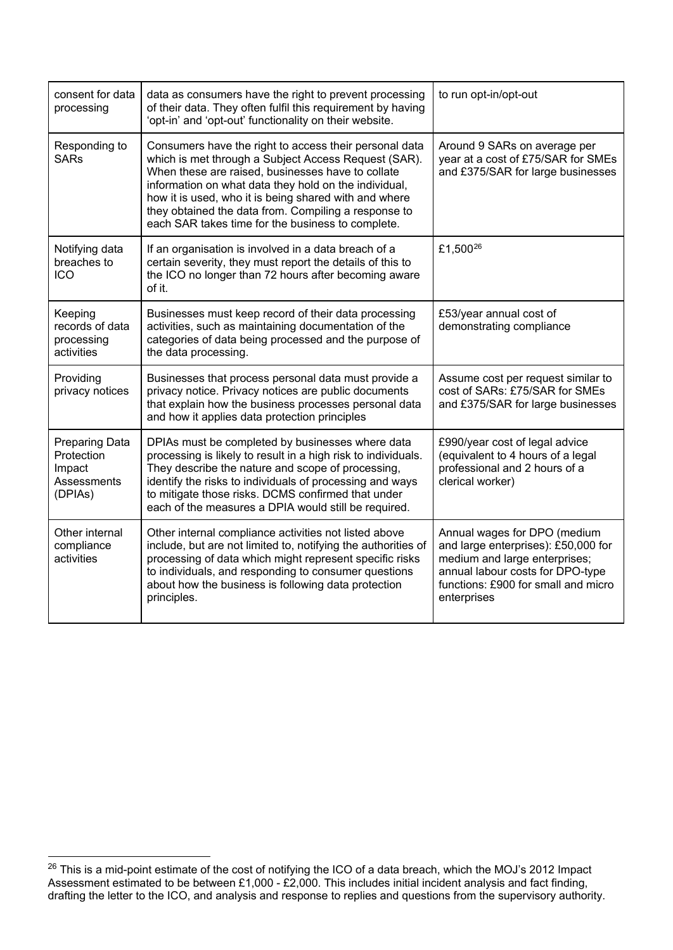| consent for data<br>data as consumers have the right to prevent processing<br>of their data. They often fulfil this requirement by having<br>processing<br>'opt-in' and 'opt-out' functionality on their website.                                                                                                                                                                                                                  |                                                                                                                                                                                                                                                                                                                                                  | to run opt-in/opt-out                                                                                                                                                                          |
|------------------------------------------------------------------------------------------------------------------------------------------------------------------------------------------------------------------------------------------------------------------------------------------------------------------------------------------------------------------------------------------------------------------------------------|--------------------------------------------------------------------------------------------------------------------------------------------------------------------------------------------------------------------------------------------------------------------------------------------------------------------------------------------------|------------------------------------------------------------------------------------------------------------------------------------------------------------------------------------------------|
| Responding to<br>Consumers have the right to access their personal data<br><b>SARs</b><br>which is met through a Subject Access Request (SAR).<br>When these are raised, businesses have to collate<br>information on what data they hold on the individual,<br>how it is used, who it is being shared with and where<br>they obtained the data from. Compiling a response to<br>each SAR takes time for the business to complete. |                                                                                                                                                                                                                                                                                                                                                  | Around 9 SARs on average per<br>year at a cost of £75/SAR for SMEs<br>and £375/SAR for large businesses                                                                                        |
| Notifying data<br>breaches to<br><b>ICO</b>                                                                                                                                                                                                                                                                                                                                                                                        | If an organisation is involved in a data breach of a<br>certain severity, they must report the details of this to<br>the ICO no longer than 72 hours after becoming aware<br>of it.                                                                                                                                                              | £1,500 <sup>26</sup>                                                                                                                                                                           |
| Keeping<br>records of data<br>processing<br>activities                                                                                                                                                                                                                                                                                                                                                                             | Businesses must keep record of their data processing<br>activities, such as maintaining documentation of the<br>categories of data being processed and the purpose of<br>the data processing.                                                                                                                                                    | £53/year annual cost of<br>demonstrating compliance                                                                                                                                            |
| Providing<br>privacy notices                                                                                                                                                                                                                                                                                                                                                                                                       | Businesses that process personal data must provide a<br>privacy notice. Privacy notices are public documents<br>that explain how the business processes personal data<br>and how it applies data protection principles                                                                                                                           | Assume cost per request similar to<br>cost of SARs: £75/SAR for SMEs<br>and £375/SAR for large businesses                                                                                      |
| <b>Preparing Data</b><br>Protection<br>Impact<br>Assessments<br>(DPIAs)                                                                                                                                                                                                                                                                                                                                                            | DPIAs must be completed by businesses where data<br>processing is likely to result in a high risk to individuals.<br>They describe the nature and scope of processing,<br>identify the risks to individuals of processing and ways<br>to mitigate those risks. DCMS confirmed that under<br>each of the measures a DPIA would still be required. | £990/year cost of legal advice<br>(equivalent to 4 hours of a legal<br>professional and 2 hours of a<br>clerical worker)                                                                       |
| Other internal<br>compliance<br>activities                                                                                                                                                                                                                                                                                                                                                                                         | Other internal compliance activities not listed above<br>include, but are not limited to, notifying the authorities of<br>processing of data which might represent specific risks<br>to individuals, and responding to consumer questions<br>about how the business is following data protection<br>principles.                                  | Annual wages for DPO (medium<br>and large enterprises): £50,000 for<br>medium and large enterprises;<br>annual labour costs for DPO-type<br>functions: £900 for small and micro<br>enterprises |

<span id="page-12-0"></span> <sup>26</sup> This is a mid-point estimate of the cost of notifying the ICO of a data breach, which the MOJ's 2012 Impact Assessment estimated to be between £1,000 - £2,000. This includes initial incident analysis and fact finding, drafting the letter to the ICO, and analysis and response to replies and questions from the supervisory authority.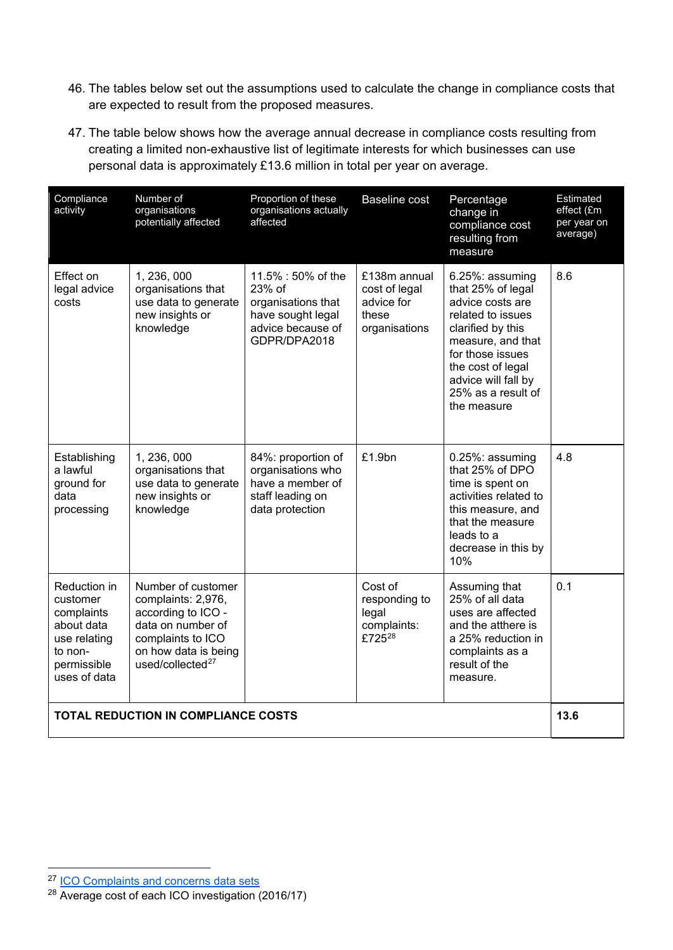- 46. The tables below set out the assumptions used to calculate the change in compliance costs that are expected to result from the proposed measures.
- 47. The table below shows how the average annual decrease in compliance costs resulting from creating a limited non-exhaustive list of legitimate interests for which businesses can use personal data is approximately £13.6 million in total per year on average.

| Compliance<br>activity                                                                                         | Number of<br>organisations<br>potentially affected                                                                                                      | Proportion of these<br>organisations actually<br>affected                                                    | <b>Baseline cost</b>                                                  | Percentage<br>change in<br>compliance cost<br>resulting from<br>measure                                                                                                                                                      | Estimated<br>effect (£m<br>per year on<br>average) |
|----------------------------------------------------------------------------------------------------------------|---------------------------------------------------------------------------------------------------------------------------------------------------------|--------------------------------------------------------------------------------------------------------------|-----------------------------------------------------------------------|------------------------------------------------------------------------------------------------------------------------------------------------------------------------------------------------------------------------------|----------------------------------------------------|
| Effect on<br>legal advice<br>costs                                                                             | 1, 236, 000<br>organisations that<br>use data to generate<br>new insights or<br>knowledge                                                               | 11.5% : 50% of the<br>23% of<br>organisations that<br>have sought legal<br>advice because of<br>GDPR/DPA2018 | £138m annual<br>cost of legal<br>advice for<br>these<br>organisations | 6.25%: assuming<br>that 25% of legal<br>advice costs are<br>related to issues<br>clarified by this<br>measure, and that<br>for those issues<br>the cost of legal<br>advice will fall by<br>25% as a result of<br>the measure | 8.6                                                |
| Establishing<br>a lawful<br>ground for<br>data<br>processing                                                   | 1, 236, 000<br>organisations that<br>use data to generate<br>new insights or<br>knowledge                                                               | 84%: proportion of<br>organisations who<br>have a member of<br>staff leading on<br>data protection           | £1.9bn                                                                | 0.25%: assuming<br>that 25% of DPO<br>time is spent on<br>activities related to<br>this measure, and<br>that the measure<br>leads to a<br>decrease in this by<br>10%                                                         | 4.8                                                |
| Reduction in<br>customer<br>complaints<br>about data<br>use relating<br>to non-<br>permissible<br>uses of data | Number of customer<br>complaints: 2,976,<br>according to ICO -<br>data on number of<br>complaints to ICO<br>on how data is being<br>used/collected $27$ |                                                                                                              | Cost of<br>responding to<br>legal<br>complaints:<br>£72528            | Assuming that<br>25% of all data<br>uses are affected<br>and the atthere is<br>a 25% reduction in<br>complaints as a<br>result of the<br>measure.                                                                            | 0.1                                                |
|                                                                                                                | <b>TOTAL REDUCTION IN COMPLIANCE COSTS</b>                                                                                                              |                                                                                                              |                                                                       |                                                                                                                                                                                                                              | 13.6                                               |

<span id="page-13-0"></span><sup>&</sup>lt;sup>27</sup> [ICO Complaints and concerns data sets](https://ico.org.uk/about-the-ico/our-information/complaints-and-concerns-data-sets/)

<span id="page-13-1"></span><sup>28</sup> [Average cost of each ICO investigation \(](https://www.whatdotheyknow.com/request/average_cost_of_each_ico_investi)2016/17)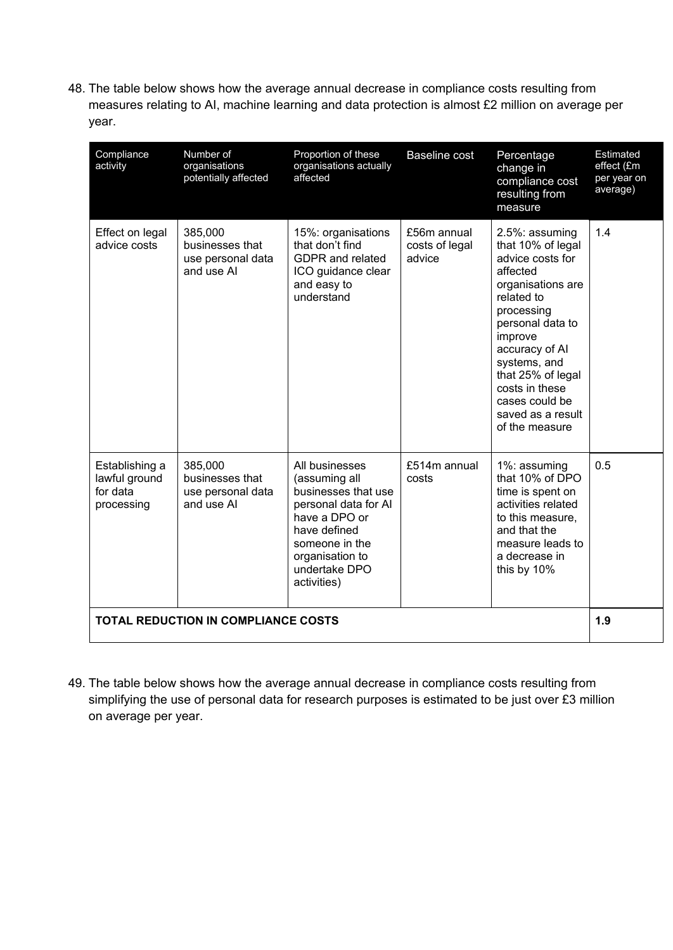48. The table below shows how the average annual decrease in compliance costs resulting from measures relating to AI, machine learning and data protection is almost £2 million on average per year.

| Compliance<br>activity                                    | Number of<br>organisations<br>potentially affected            | Proportion of these<br>organisations actually<br>affected                                                                                                                            | <b>Baseline cost</b>                    | Percentage<br>change in<br>compliance cost<br>resulting from<br>measure                                                                                                                                                                                                               | Estimated<br>effect (£m<br>per year on<br>average) |
|-----------------------------------------------------------|---------------------------------------------------------------|--------------------------------------------------------------------------------------------------------------------------------------------------------------------------------------|-----------------------------------------|---------------------------------------------------------------------------------------------------------------------------------------------------------------------------------------------------------------------------------------------------------------------------------------|----------------------------------------------------|
| Effect on legal<br>advice costs                           | 385,000<br>businesses that<br>use personal data<br>and use AI | 15%: organisations<br>that don't find<br><b>GDPR</b> and related<br>ICO guidance clear<br>and easy to<br>understand                                                                  | £56m annual<br>costs of legal<br>advice | 2.5%: assuming<br>that 10% of legal<br>advice costs for<br>affected<br>organisations are<br>related to<br>processing<br>personal data to<br>improve<br>accuracy of Al<br>systems, and<br>that 25% of legal<br>costs in these<br>cases could be<br>saved as a result<br>of the measure | 1.4                                                |
| Establishing a<br>lawful ground<br>for data<br>processing | 385,000<br>businesses that<br>use personal data<br>and use AI | All businesses<br>(assuming all<br>businesses that use<br>personal data for AI<br>have a DPO or<br>have defined<br>someone in the<br>organisation to<br>undertake DPO<br>activities) | £514m annual<br>costs                   | 1%: assuming<br>that 10% of DPO<br>time is spent on<br>activities related<br>to this measure,<br>and that the<br>measure leads to<br>a decrease in<br>this by 10%                                                                                                                     | 0.5                                                |
| 1.9<br><b>TOTAL REDUCTION IN COMPLIANCE COSTS</b>         |                                                               |                                                                                                                                                                                      |                                         |                                                                                                                                                                                                                                                                                       |                                                    |

49. The table below shows how the average annual decrease in compliance costs resulting from simplifying the use of personal data for research purposes is estimated to be just over £3 million on average per year.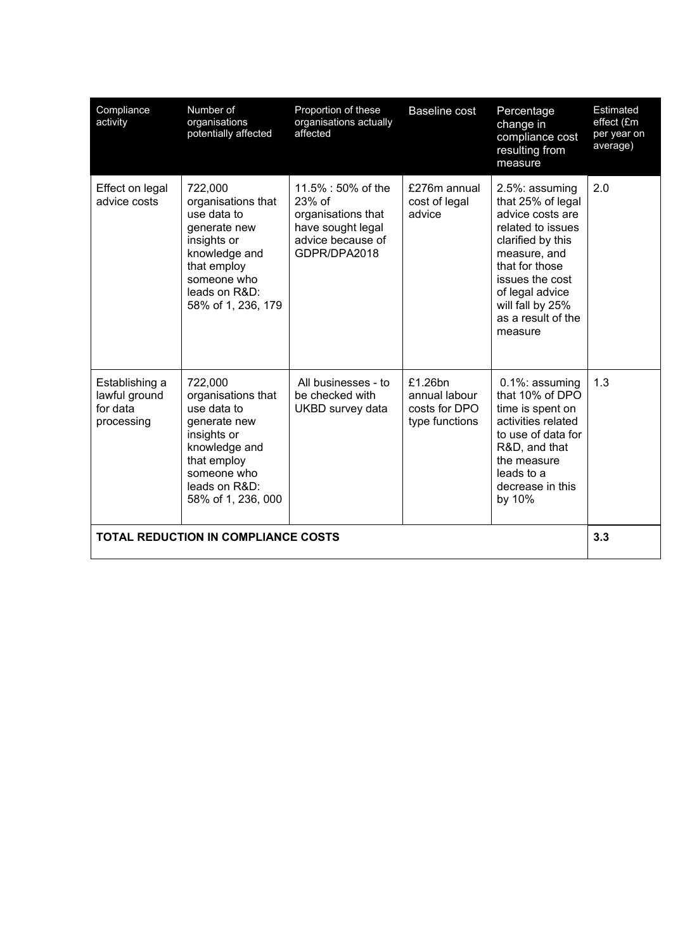| Compliance<br>activity                                    | Number of<br>organisations<br>potentially affected                                                                                                                | Proportion of these<br>organisations actually<br>affected                                                    | <b>Baseline cost</b>                                        | Percentage<br>change in<br>compliance cost<br>resulting from<br>measure                                                                                                                                                        | Estimated<br>effect (£m<br>per year on<br>average) |
|-----------------------------------------------------------|-------------------------------------------------------------------------------------------------------------------------------------------------------------------|--------------------------------------------------------------------------------------------------------------|-------------------------------------------------------------|--------------------------------------------------------------------------------------------------------------------------------------------------------------------------------------------------------------------------------|----------------------------------------------------|
| Effect on legal<br>advice costs                           | 722,000<br>organisations that<br>use data to<br>generate new<br>insights or<br>knowledge and<br>that employ<br>someone who<br>leads on R&D:<br>58% of 1, 236, 179 | 11.5% : 50% of the<br>23% of<br>organisations that<br>have sought legal<br>advice because of<br>GDPR/DPA2018 | £276m annual<br>cost of legal<br>advice                     | 2.5%: assuming<br>that 25% of legal<br>advice costs are<br>related to issues<br>clarified by this<br>measure, and<br>that for those<br>issues the cost<br>of legal advice<br>will fall by 25%<br>as a result of the<br>measure | 2.0                                                |
| Establishing a<br>lawful ground<br>for data<br>processing | 722,000<br>organisations that<br>use data to<br>generate new<br>insights or<br>knowledge and<br>that employ<br>someone who<br>leads on R&D:<br>58% of 1, 236, 000 | All businesses - to<br>be checked with<br>UKBD survey data                                                   | £1.26bn<br>annual labour<br>costs for DPO<br>type functions | $0.1\%$ : assuming<br>that 10% of DPO<br>time is spent on<br>activities related<br>to use of data for<br>R&D, and that<br>the measure<br>leads to a<br>decrease in this<br>by 10%                                              | 1.3                                                |
|                                                           | <b>TOTAL REDUCTION IN COMPLIANCE COSTS</b>                                                                                                                        |                                                                                                              |                                                             |                                                                                                                                                                                                                                | 3.3                                                |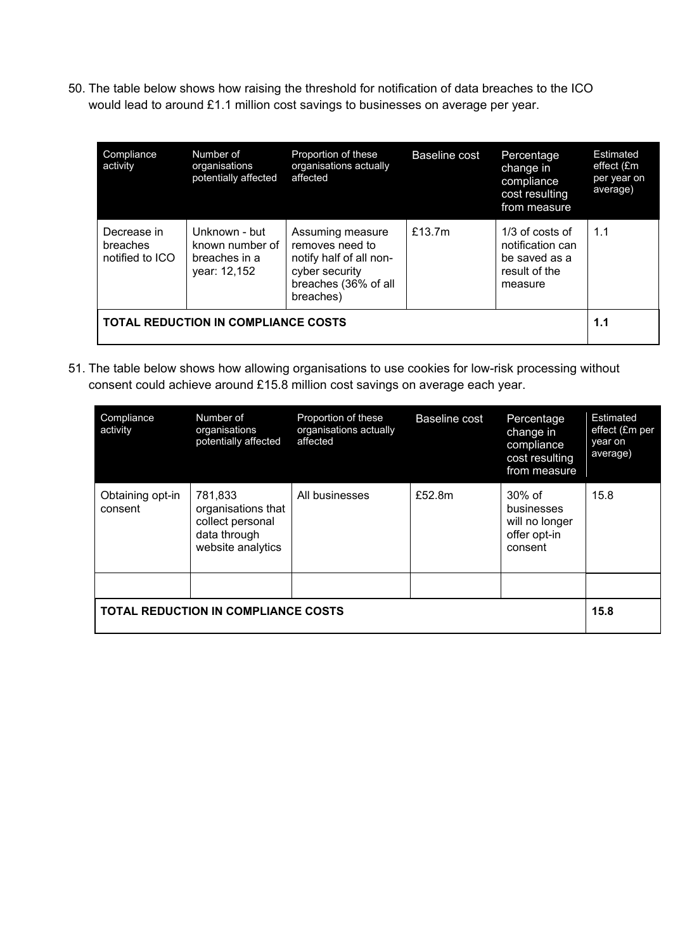50. The table below shows how raising the threshold for notification of data breaches to the ICO would lead to around £1.1 million cost savings to businesses on average per year.

| Compliance<br>activity                     | Number of<br>organisations<br>potentially affected                | Proportion of these<br>organisations actually<br>affected                                                             | Baseline cost | Percentage<br>change in<br>compliance<br>cost resulting<br>from measure            | Estimated<br>effect (£m<br>per year on<br>average) |
|--------------------------------------------|-------------------------------------------------------------------|-----------------------------------------------------------------------------------------------------------------------|---------------|------------------------------------------------------------------------------------|----------------------------------------------------|
| Decrease in<br>breaches<br>notified to ICO | Unknown - but<br>known number of<br>breaches in a<br>year: 12,152 | Assuming measure<br>removes need to<br>notify half of all non-<br>cyber security<br>breaches (36% of all<br>breaches) | £13.7 $m$     | $1/3$ of costs of<br>notification can<br>be saved as a<br>result of the<br>measure | 1.1                                                |
| <b>TOTAL REDUCTION IN COMPLIANCE COSTS</b> |                                                                   |                                                                                                                       |               |                                                                                    |                                                    |

51. The table below shows how allowing organisations to use cookies for low-risk processing without consent could achieve around £15.8 million cost savings on average each year.

| Compliance<br>activity                             | Number of<br>organisations<br>potentially affected                                     | Proportion of these<br>organisations actually<br>affected | <b>Baseline cost</b> | Percentage<br>change in<br>compliance<br>cost resulting<br>from measure | <b>Estimated</b><br>effect (£m per<br>year on<br>average) |
|----------------------------------------------------|----------------------------------------------------------------------------------------|-----------------------------------------------------------|----------------------|-------------------------------------------------------------------------|-----------------------------------------------------------|
| Obtaining opt-in<br>consent                        | 781,833<br>organisations that<br>collect personal<br>data through<br>website analytics | All businesses                                            | £52.8m               | $30\%$ of<br>businesses<br>will no longer<br>offer opt-in<br>consent    | 15.8                                                      |
|                                                    |                                                                                        |                                                           |                      |                                                                         |                                                           |
| <b>TOTAL REDUCTION IN COMPLIANCE COSTS</b><br>15.8 |                                                                                        |                                                           |                      |                                                                         |                                                           |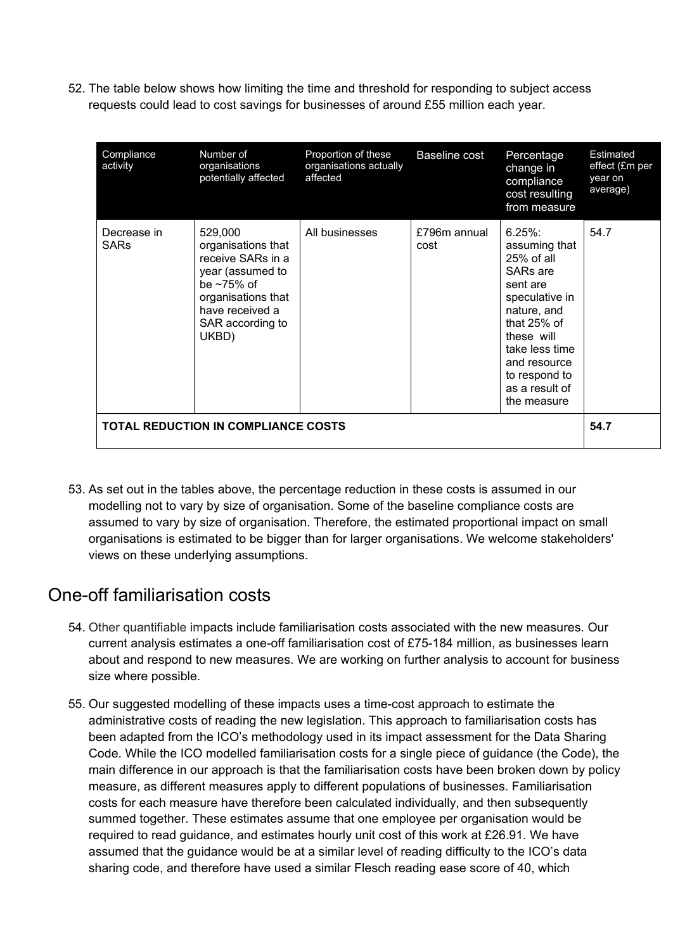52. The table below shows how limiting the time and threshold for responding to subject access requests could lead to cost savings for businesses of around £55 million each year.

| Compliance<br>activity     | Number of<br>organisations<br>potentially affected                                                                                                               | Proportion of these<br>organisations actually<br>affected | Baseline cost        | Percentage<br>change in<br>compliance<br>cost resulting<br>from measure                                                                                                                                                           | <b>Estimated</b><br>effect (£m per<br>year on<br>average) |
|----------------------------|------------------------------------------------------------------------------------------------------------------------------------------------------------------|-----------------------------------------------------------|----------------------|-----------------------------------------------------------------------------------------------------------------------------------------------------------------------------------------------------------------------------------|-----------------------------------------------------------|
| Decrease in<br><b>SARs</b> | 529,000<br>organisations that<br>receive SARs in a<br>year (assumed to<br>be $\sim$ 75% of<br>organisations that<br>have received a<br>SAR according to<br>UKBD) | All businesses                                            | £796m annual<br>cost | $6.25\%$ :<br>assuming that<br>$25%$ of all<br>SAR <sub>s</sub> are<br>sent are<br>speculative in<br>nature, and<br>that 25% of<br>these will<br>take less time<br>and resource<br>to respond to<br>as a result of<br>the measure | 54.7                                                      |
|                            | <b>TOTAL REDUCTION IN COMPLIANCE COSTS</b>                                                                                                                       |                                                           |                      |                                                                                                                                                                                                                                   | 54.7                                                      |

53. As set out in the tables above, the percentage reduction in these costs is assumed in our modelling not to vary by size of organisation. Some of the baseline compliance costs are assumed to vary by size of organisation. Therefore, the estimated proportional impact on small organisations is estimated to be bigger than for larger organisations. We welcome stakeholders' views on these underlying assumptions.

#### <span id="page-17-0"></span>One-off familiarisation costs

- 54. Other quantifiable impacts include familiarisation costs associated with the new measures. Our current analysis estimates a one-off familiarisation cost of £75-184 million, as businesses learn about and respond to new measures. We are working on further analysis to account for business size where possible.
- 55. Our suggested modelling of these impacts uses a time-cost approach to estimate the administrative costs of reading the new legislation. This approach to familiarisation costs has been adapted from the ICO's methodology used in its impact assessment for the Data Sharing Code. While the ICO modelled familiarisation costs for a single piece of guidance (the Code), the main difference in our approach is that the familiarisation costs have been broken down by policy measure, as different measures apply to different populations of businesses. Familiarisation costs for each measure have therefore been calculated individually, and then subsequently summed together. These estimates assume that one employee per organisation would be required to read guidance, and estimates hourly unit cost of this work at £26.91. We have assumed that the guidance would be at a similar level of reading difficulty to the ICO's data sharing code, and therefore have used a similar Flesch reading ease score of 40, which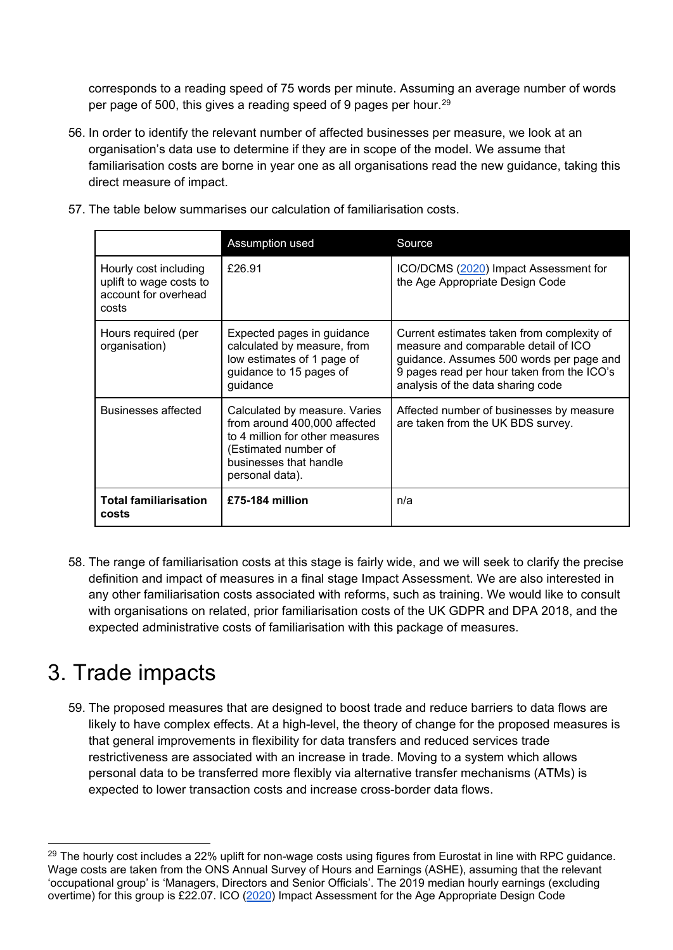corresponds to a reading speed of 75 words per minute. Assuming an average number of words per page of 500, this gives a reading speed of 9 pages per hour.<sup>[29](#page-18-1)</sup>

- 56. In order to identify the relevant number of affected businesses per measure, we look at an organisation's data use to determine if they are in scope of the model. We assume that familiarisation costs are borne in year one as all organisations read the new guidance, taking this direct measure of impact.
	- Assumption used Source Hourly cost including uplift to wage costs to account for overhead costs £26.91 ICO/DCMS [\(2020\)](https://ico.org.uk/media/about-the-ico/documents/2617988/aadc-impact-assessment-v1_3.pdf) Impact Assessment for the Age Appropriate Design Code Hours required (per organisation) Expected pages in guidance calculated by measure, from low estimates of 1 page of guidance to 15 pages of guidance Current estimates taken from complexity of measure and comparable detail of ICO guidance. Assumes 500 words per page and 9 pages read per hour taken from the ICO's analysis of the data sharing code Businesses affected | Calculated by measure. Varies from around 400,000 affected to 4 million for other measures (Estimated number of businesses that handle personal data). Affected number of businesses by measure are taken from the UK BDS survey. **Total familiarisation costs £75-184 million** n/a
- 57. The table below summarises our calculation of familiarisation costs.

58. The range of familiarisation costs at this stage is fairly wide, and we will seek to clarify the precise definition and impact of measures in a final stage Impact Assessment. We are also interested in any other familiarisation costs associated with reforms, such as training. We would like to consult with organisations on related, prior familiarisation costs of the UK GDPR and DPA 2018, and the expected administrative costs of familiarisation with this package of measures.

## <span id="page-18-0"></span>3. Trade impacts

59. The proposed measures that are designed to boost trade and reduce barriers to data flows are likely to have complex effects. At a high-level, the theory of change for the proposed measures is that general improvements in flexibility for data transfers and reduced services trade restrictiveness are associated with an increase in trade. Moving to a system which allows personal data to be transferred more flexibly via alternative transfer mechanisms (ATMs) is expected to lower transaction costs and increase cross-border data flows.

<span id="page-18-1"></span> $29$  The hourly cost includes a 22% uplift for non-wage costs using figures from Eurostat in line with RPC guidance. Wage costs are taken from the ONS Annual Survey of Hours and Earnings (ASHE), assuming that the relevant 'occupational group' is 'Managers, Directors and Senior Officials'. The 2019 median hourly earnings (excluding overtime) for this group is £22.07. ICO [\(2020\)](https://ico.org.uk/media/about-the-ico/documents/2617988/aadc-impact-assessment-v1_3.pdf) Impact Assessment for the Age Appropriate Design Code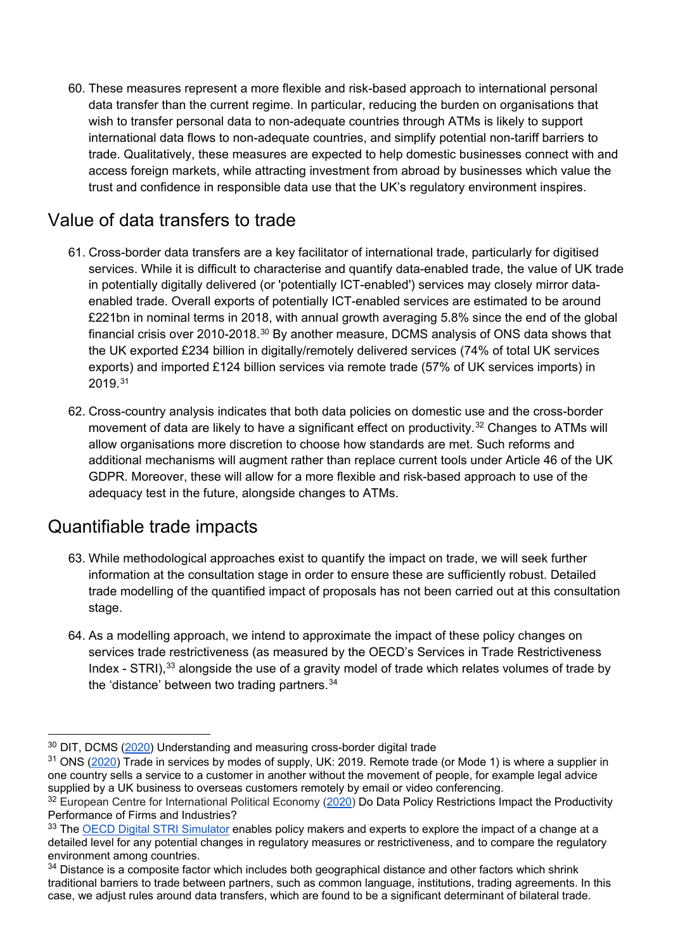60. These measures represent a more flexible and risk-based approach to international personal data transfer than the current regime. In particular, reducing the burden on organisations that wish to transfer personal data to non-adequate countries through ATMs is likely to support international data flows to non-adequate countries, and simplify potential non-tariff barriers to trade. Qualitatively, these measures are expected to help domestic businesses connect with and access foreign markets, while attracting investment from abroad by businesses which value the trust and confidence in responsible data use that the UK's regulatory environment inspires.

#### <span id="page-19-0"></span>Value of data transfers to trade

- 61. Cross-border data transfers are a key facilitator of international trade, particularly for digitised services. While it is difficult to characterise and quantify data-enabled trade, the value of UK trade in potentially digitally delivered (or 'potentially ICT-enabled') services may closely mirror dataenabled trade. Overall exports of potentially ICT-enabled services are estimated to be around £221bn in nominal terms in 2018, with annual growth averaging 5.8% since the end of the global financial crisis over 2010-2018.[30](#page-19-2) By another measure, DCMS analysis of ONS data shows that the UK exported £234 billion in digitally/remotely delivered services (74% of total UK services exports) and imported £124 billion services via remote trade (57% of UK services imports) in 2019.[31](#page-19-3)
- 62. Cross-country analysis indicates that both data policies on domestic use and the cross-border movement of data are likely to have a significant effect on productivity.<sup>[32](#page-19-4)</sup> Changes to ATMs will allow organisations more discretion to choose how standards are met. Such reforms and additional mechanisms will augment rather than replace current tools under Article 46 of the UK GDPR. Moreover, these will allow for a more flexible and risk-based approach to use of the adequacy test in the future, alongside changes to ATMs.

### <span id="page-19-1"></span>Quantifiable trade impacts

- 63. While methodological approaches exist to quantify the impact on trade, we will seek further information at the consultation stage in order to ensure these are sufficiently robust. Detailed trade modelling of the quantified impact of proposals has not been carried out at this consultation stage.
- 64. As a modelling approach, we intend to approximate the impact of these policy changes on services trade restrictiveness (as measured by the OECD's Services in Trade Restrictiveness Index - STRI),<sup>[33](#page-19-5)</sup> alongside the use of a gravity model of trade which relates volumes of trade by the 'distance' between two trading partners.[34](#page-19-6)

<span id="page-19-2"></span><sup>&</sup>lt;sup>30</sup> DIT, DCMS [\(2020\)](https://www.gov.uk/government/publications/understanding-and-measuring-cross-border-digital-trade) Understanding and measuring cross-border digital trade

<span id="page-19-3"></span><sup>&</sup>lt;sup>31</sup> ONS [\(2020\)](https://www.ons.gov.uk/businessindustryandtrade/internationaltrade/articles/modesofsupplyukexperimentalestimates/2019) Trade in services by modes of supply, UK: 2019. Remote trade (or Mode 1) is where a supplier in one country sells a service to a customer in another without the movement of people, for example legal advice supplied by a UK business to overseas customers remotely by email or video conferencing. <sup>32</sup> European Centre for International Political Economy [\(2020\)](https://ecipe.org/publications/do-data-policy-restrictions-impact-the-productivity-performance-of-firms-and-industries/) Do Data Policy Restrictions Impact the Productivity

<span id="page-19-4"></span>Performance of Firms and Industries?

<span id="page-19-5"></span><sup>&</sup>lt;sup>33</sup> The [OECD Digital STRI Simulator](https://sim.oecd.org/Simulator.ashx?lang=En&ds=STRI&d1c=cs&d2c=gbr&mc=1604:no;1605:yes;1608:no;1609:no;1610:yes) enables policy makers and experts to explore the impact of a change at a detailed level for any potential changes in regulatory measures or restrictiveness, and to compare the regulatory environment among countries.

<span id="page-19-6"></span><sup>&</sup>lt;sup>34</sup> Distance is a composite factor which includes both geographical distance and other factors which shrink traditional barriers to trade between partners, such as common language, institutions, trading agreements. In this case, we adjust rules around data transfers, which are found to be a significant determinant of bilateral trade.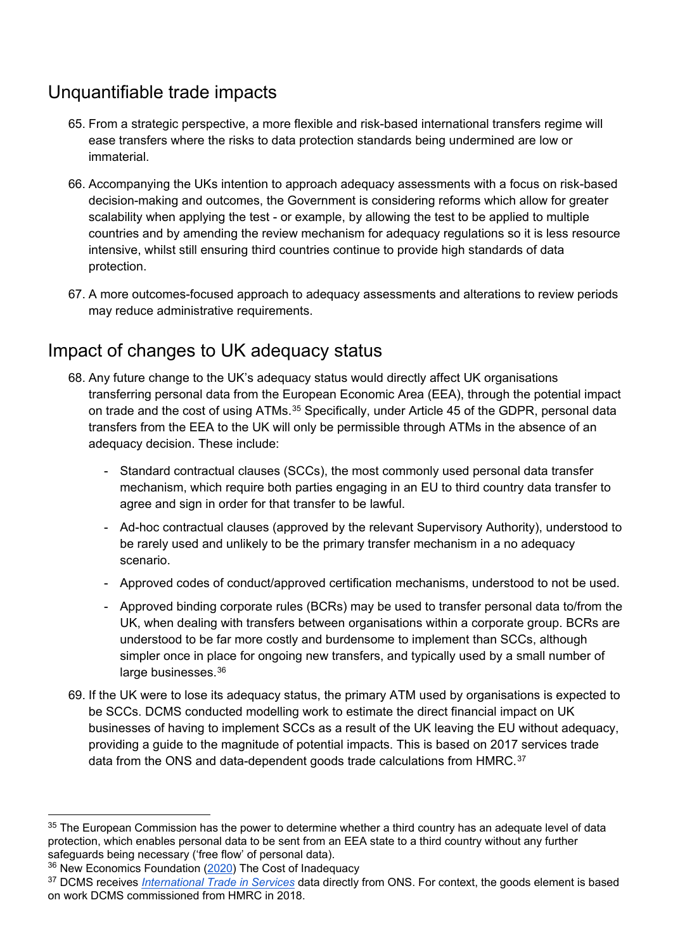## <span id="page-20-0"></span>Unquantifiable trade impacts

- 65. From a strategic perspective, a more flexible and risk-based international transfers regime will ease transfers where the risks to data protection standards being undermined are low or immaterial.
- 66. Accompanying the UKs intention to approach adequacy assessments with a focus on risk-based decision-making and outcomes, the Government is considering reforms which allow for greater scalability when applying the test - or example, by allowing the test to be applied to multiple countries and by amending the review mechanism for adequacy regulations so it is less resource intensive, whilst still ensuring third countries continue to provide high standards of data protection.
- 67. A more outcomes-focused approach to adequacy assessments and alterations to review periods may reduce administrative requirements.

## <span id="page-20-1"></span>Impact of changes to UK adequacy status

- 68. Any future change to the UK's adequacy status would directly affect UK organisations transferring personal data from the European Economic Area (EEA), through the potential impact on trade and the cost of using ATMs.<sup>[35](#page-20-2)</sup> Specifically, under Article 45 of the GDPR, personal data transfers from the EEA to the UK will only be permissible through ATMs in the absence of an adequacy decision. These include:
	- Standard contractual clauses (SCCs), the most commonly used personal data transfer mechanism, which require both parties engaging in an EU to third country data transfer to agree and sign in order for that transfer to be lawful.
	- Ad-hoc contractual clauses (approved by the relevant Supervisory Authority), understood to be rarely used and unlikely to be the primary transfer mechanism in a no adequacy scenario.
	- Approved codes of conduct/approved certification mechanisms, understood to not be used.
	- Approved binding corporate rules (BCRs) may be used to transfer personal data to/from the UK, when dealing with transfers between organisations within a corporate group. BCRs are understood to be far more costly and burdensome to implement than SCCs, although simpler once in place for ongoing new transfers, and typically used by a small number of large businesses. [36](#page-20-3)
- 69. If the UK were to lose its adequacy status, the primary ATM used by organisations is expected to be SCCs. DCMS conducted modelling work to estimate the direct financial impact on UK businesses of having to implement SCCs as a result of the UK leaving the EU without adequacy, providing a guide to the magnitude of potential impacts. This is based on 2017 services trade data from the ONS and data-dependent goods trade calculations from HMRC.<sup>[37](#page-20-4)</sup>

<span id="page-20-2"></span><sup>&</sup>lt;sup>35</sup> The European Commission has the power to determine whether a third country has an adequate level of data protection, which enables personal data to be sent from an EEA state to a third country without any further safeguards being necessary ('free flow' of personal data).

<span id="page-20-3"></span><sup>&</sup>lt;sup>36</sup> New Economics Foundation [\(2020\)](https://neweconomics.org/2020/11/the-cost-of-data-inadequacy#:%7E:text=No%20adequacy%20decision%20would%20also,investment%20(both%20domestic%20and%20international)) The Cost of Inadequacy

<span id="page-20-4"></span><sup>37</sup> DCMS receives *[International Trade in Services](https://www.ons.gov.uk/businessindustryandtrade/internationaltrade/bulletins/internationaltradeinservices/2018)* data directly from ONS. For context, the goods element is based on work DCMS commissioned from HMRC in 2018.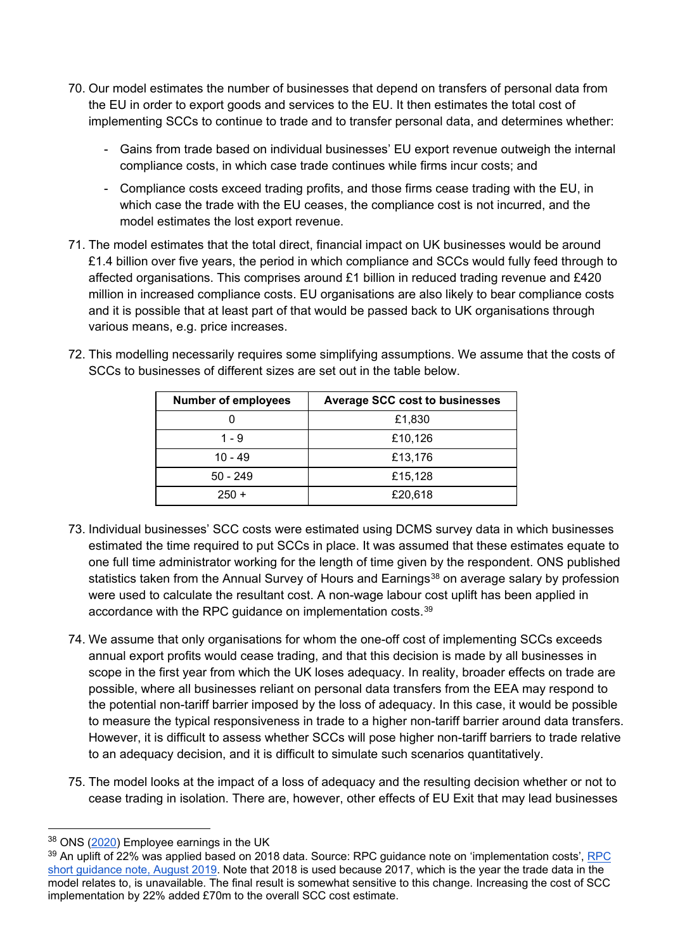- 70. Our model estimates the number of businesses that depend on transfers of personal data from the EU in order to export goods and services to the EU. It then estimates the total cost of implementing SCCs to continue to trade and to transfer personal data, and determines whether:
	- Gains from trade based on individual businesses' EU export revenue outweigh the internal compliance costs, in which case trade continues while firms incur costs; and
	- Compliance costs exceed trading profits, and those firms cease trading with the EU, in which case the trade with the EU ceases, the compliance cost is not incurred, and the model estimates the lost export revenue.
- 71. The model estimates that the total direct, financial impact on UK businesses would be around £1.4 billion over five years, the period in which compliance and SCCs would fully feed through to affected organisations. This comprises around £1 billion in reduced trading revenue and £420 million in increased compliance costs. EU organisations are also likely to bear compliance costs and it is possible that at least part of that would be passed back to UK organisations through various means, e.g. price increases.
- 72. This modelling necessarily requires some simplifying assumptions. We assume that the costs of SCCs to businesses of different sizes are set out in the table below.

| <b>Number of employees</b> | <b>Average SCC cost to businesses</b> |
|----------------------------|---------------------------------------|
|                            | £1,830                                |
| $1 - 9$                    | £10,126                               |
| $10 - 49$                  | £13,176                               |
| $50 - 249$                 | £15,128                               |
| $250 +$                    | £20,618                               |

- 73. Individual businesses' SCC costs were estimated using DCMS survey data in which businesses estimated the time required to put SCCs in place. It was assumed that these estimates equate to one full time administrator working for the length of time given by the respondent. ONS published statistics taken from the Annual Survey of Hours and Earnings<sup>[38](#page-21-0)</sup> on average salary by profession were used to calculate the resultant cost. A non-wage labour cost uplift has been applied in accordance with the RPC quidance on implementation costs.<sup>[39](#page-21-1)</sup>
- 74. We assume that only organisations for whom the one-off cost of implementing SCCs exceeds annual export profits would cease trading, and that this decision is made by all businesses in scope in the first year from which the UK loses adequacy. In reality, broader effects on trade are possible, where all businesses reliant on personal data transfers from the EEA may respond to the potential non-tariff barrier imposed by the loss of adequacy. In this case, it would be possible to measure the typical responsiveness in trade to a higher non-tariff barrier around data transfers. However, it is difficult to assess whether SCCs will pose higher non-tariff barriers to trade relative to an adequacy decision, and it is difficult to simulate such scenarios quantitatively.
- 75. The model looks at the impact of a loss of adequacy and the resulting decision whether or not to cease trading in isolation. There are, however, other effects of EU Exit that may lead businesses

<span id="page-21-0"></span><sup>38</sup> ONS [\(2020\)](https://www.ons.gov.uk/employmentandlabourmarket/peopleinwork/earningsandworkinghours/bulletins/annualsurveyofhoursandearnings/2020) Employee earnings in the UK

<span id="page-21-1"></span><sup>&</sup>lt;sup>39</sup> An uplift of 22% was applied based on 2018 data. Source: [RPC](https://assets.publishing.service.gov.uk/government/uploads/system/uploads/attachment_data/file/827926/RPC_short_guidance_note_-_Implementation_costs__August_2019.pdf) guidance note on 'implementation costs', RPC [short guidance note, August 2019.](https://assets.publishing.service.gov.uk/government/uploads/system/uploads/attachment_data/file/827926/RPC_short_guidance_note_-_Implementation_costs__August_2019.pdf) Note that 2018 is used because 2017, which is the year the trade data in the model relates to, is unavailable. The final result is somewhat sensitive to this change. Increasing the cost of SCC implementation by 22% added £70m to the overall SCC cost estimate.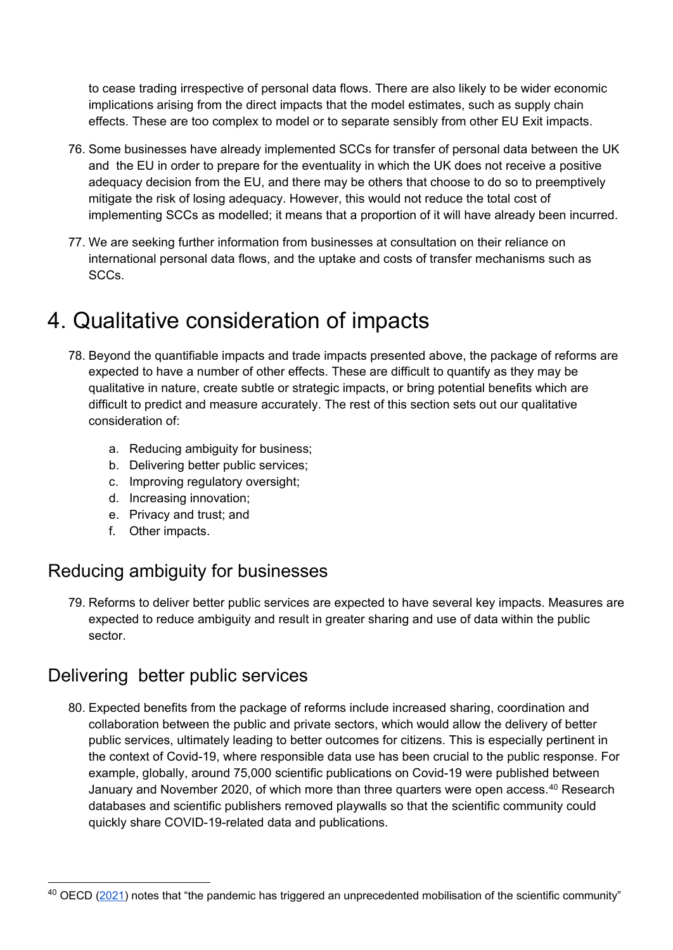to cease trading irrespective of personal data flows. There are also likely to be wider economic implications arising from the direct impacts that the model estimates, such as supply chain effects. These are too complex to model or to separate sensibly from other EU Exit impacts.

- 76. Some businesses have already implemented SCCs for transfer of personal data between the UK and the EU in order to prepare for the eventuality in which the UK does not receive a positive adequacy decision from the EU, and there may be others that choose to do so to preemptively mitigate the risk of losing adequacy. However, this would not reduce the total cost of implementing SCCs as modelled; it means that a proportion of it will have already been incurred.
- 77. We are seeking further information from businesses at consultation on their reliance on international personal data flows, and the uptake and costs of transfer mechanisms such as SCCs.

## <span id="page-22-0"></span>4. Qualitative consideration of impacts

- 78. Beyond the quantifiable impacts and trade impacts presented above, the package of reforms are expected to have a number of other effects. These are difficult to quantify as they may be qualitative in nature, create subtle or strategic impacts, or bring potential benefits which are difficult to predict and measure accurately. The rest of this section sets out our qualitative consideration of:
	- a. Reducing ambiguity for business;
	- b. Delivering better public services;
	- c. Improving regulatory oversight;
	- d. Increasing innovation;
	- e. Privacy and trust; and
	- f. Other impacts.

### <span id="page-22-1"></span>Reducing ambiguity for businesses

79. Reforms to deliver better public services are expected to have several key impacts. Measures are expected to reduce ambiguity and result in greater sharing and use of data within the public sector.

#### <span id="page-22-2"></span>Delivering better public services

80. Expected benefits from the package of reforms include increased sharing, coordination and collaboration between the public and private sectors, which would allow the delivery of better public services, ultimately leading to better outcomes for citizens. This is especially pertinent in the context of Covid-19, where responsible data use has been crucial to the public response. For example, globally, around 75,000 scientific publications on Covid-19 were published between January and November 2020, of which more than three quarters were open access.[40](#page-22-3) Research databases and scientific publishers removed playwalls so that the scientific community could quickly share COVID-19-related data and publications.

<span id="page-22-3"></span> <sup>40</sup> OECD [\(2021\)](https://www.oecd.org/sti/science-technology-innovation-outlook/crisis-and-opportunity/thepandemichastriggeredanunprecedentedmobilisationofthescientificcommunity.htm) notes that "the pandemic has triggered an unprecedented mobilisation of the scientific community"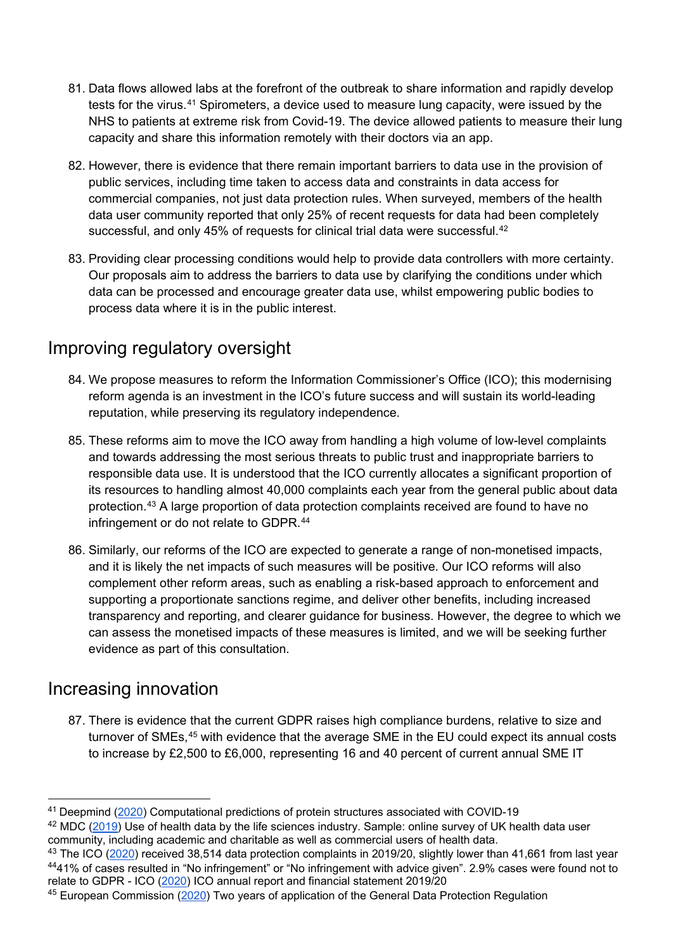- 81. Data flows allowed labs at the forefront of the outbreak to share information and rapidly develop tests for the virus.[41](#page-23-2) Spirometers, a device used to measure lung capacity, were issued by the NHS to patients at extreme risk from Covid-19. The device allowed patients to measure their lung capacity and share this information remotely with their doctors via an app.
- 82. However, there is evidence that there remain important barriers to data use in the provision of public services, including time taken to access data and constraints in data access for commercial companies, not just data protection rules. When surveyed, members of the health data user community reported that only 25% of recent requests for data had been completely successful, and only 45% of requests for clinical trial data were successful.<sup>[42](#page-23-3)</sup>
- 83. Providing clear processing conditions would help to provide data controllers with more certainty. Our proposals aim to address the barriers to data use by clarifying the conditions under which data can be processed and encourage greater data use, whilst empowering public bodies to process data where it is in the public interest.

#### <span id="page-23-0"></span>Improving regulatory oversight

- 84. We propose measures to reform the Information Commissioner's Office (ICO); this modernising reform agenda is an investment in the ICO's future success and will sustain its world-leading reputation, while preserving its regulatory independence.
- 85. These reforms aim to move the ICO away from handling a high volume of low-level complaints and towards addressing the most serious threats to public trust and inappropriate barriers to responsible data use. It is understood that the ICO currently allocates a significant proportion of its resources to handling almost 40,000 complaints each year from the general public about data protection.[43](#page-23-4) A large proportion of data protection complaints received are found to have no infringement or do not relate to GDPR.<sup>[44](#page-23-5)</sup>
- 86. Similarly, our reforms of the ICO are expected to generate a range of non-monetised impacts, and it is likely the net impacts of such measures will be positive. Our ICO reforms will also complement other reform areas, such as enabling a risk-based approach to enforcement and supporting a proportionate sanctions regime, and deliver other benefits, including increased transparency and reporting, and clearer guidance for business. However, the degree to which we can assess the monetised impacts of these measures is limited, and we will be seeking further evidence as part of this consultation.

#### <span id="page-23-1"></span>Increasing innovation

87. There is evidence that the current GDPR raises high compliance burdens, relative to size and turnover of SMEs,<sup>[45](#page-23-6)</sup> with evidence that the average SME in the EU could expect its annual costs to increase by £2,500 to £6,000, representing 16 and 40 percent of current annual SME IT

<span id="page-23-2"></span> <sup>41</sup> Deepmind [\(2020\)](https://deepmind.com/research/open-source/computational-predictions-of-protein-structures-associated-with-COVID-19) Computational predictions of protein structures associated with COVID-19

<span id="page-23-3"></span><sup>&</sup>lt;sup>42</sup> MDC [\(2019\)](https://s3.eu-west-1.amazonaws.com/media.newmd.catapult/wp-content/uploads/2019/10/22170649/health-data-report.pdf) Use of health data by the life sciences industry. Sample: online survey of UK health data user community, including academic and charitable as well as commercial users of health data.

<span id="page-23-5"></span><span id="page-23-4"></span><sup>&</sup>lt;sup>43</sup> The ICO [\(2020\)](https://ico.org.uk/media/about-the-ico/documents/2618021/annual-report-2019-20-v83-certified.pdf) received 38,514 data protection complaints in 2019/20, slightly lower than 41,661 from last year 4441% of cases resulted in "No infringement" or "No infringement with advice given". 2.9% cases were found not to relate to GDPR - ICO [\(2020\)](https://ico.org.uk/media/about-the-ico/documents/2618021/annual-report-2019-20-v83-certified.pdf) ICO annual report and financial statement 2019/20

<span id="page-23-6"></span><sup>45</sup> European Commission [\(2020\)](https://ec.europa.eu/info/sites/default/files/1_en_act_part1_v6_1.pdf) Two years of application of the General Data Protection Regulation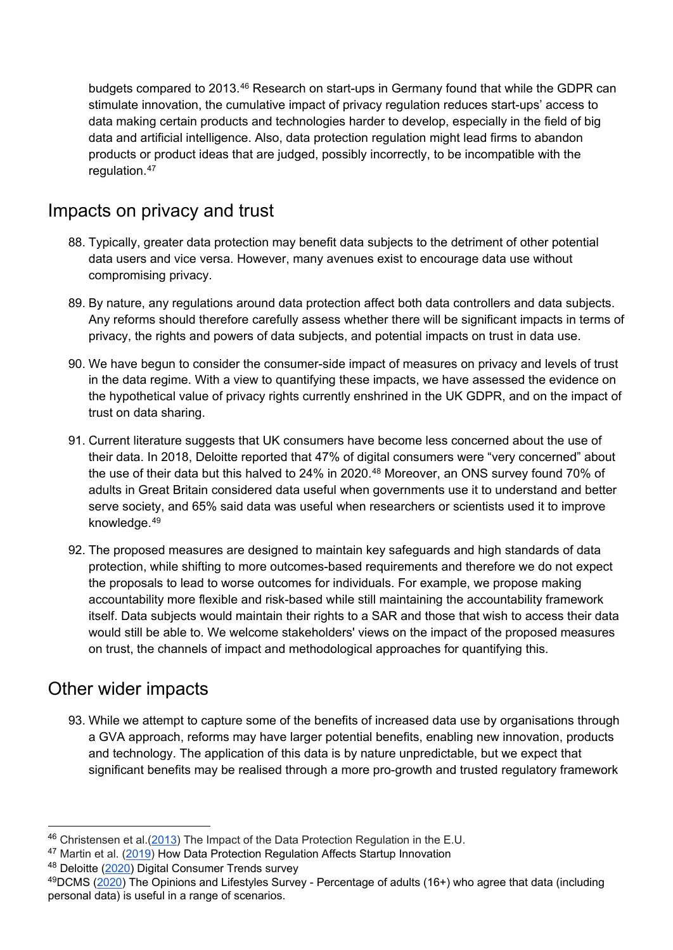budgets compared to 2013.<sup>[46](#page-24-2)</sup> Research on start-ups in Germany found that while the GDPR can stimulate innovation, the cumulative impact of privacy regulation reduces start-ups' access to data making certain products and technologies harder to develop, especially in the field of big data and artificial intelligence. Also, data protection regulation might lead firms to abandon products or product ideas that are judged, possibly incorrectly, to be incompatible with the regulation.<sup>[47](#page-24-3)</sup>

#### <span id="page-24-0"></span>Impacts on privacy and trust

- 88. Typically, greater data protection may benefit data subjects to the detriment of other potential data users and vice versa. However, many avenues exist to encourage data use without compromising privacy.
- 89. By nature, any regulations around data protection affect both data controllers and data subjects. Any reforms should therefore carefully assess whether there will be significant impacts in terms of privacy, the rights and powers of data subjects, and potential impacts on trust in data use.
- 90. We have begun to consider the consumer-side impact of measures on privacy and levels of trust in the data regime. With a view to quantifying these impacts, we have assessed the evidence on the hypothetical value of privacy rights currently enshrined in the UK GDPR, and on the impact of trust on data sharing.
- 91. Current literature suggests that UK consumers have become less concerned about the use of their data. In 2018, Deloitte reported that 47% of digital consumers were "very concerned" about the use of their data but this halved to 24% in 2020.<sup>[48](#page-24-4)</sup> Moreover, an ONS survey found 70% of adults in Great Britain considered data useful when governments use it to understand and better serve society, and 65% said data was useful when researchers or scientists used it to improve knowledge.[49](#page-24-5)
- 92. The proposed measures are designed to maintain key safeguards and high standards of data protection, while shifting to more outcomes-based requirements and therefore we do not expect the proposals to lead to worse outcomes for individuals. For example, we propose making accountability more flexible and risk-based while still maintaining the accountability framework itself. Data subjects would maintain their rights to a SAR and those that wish to access their data would still be able to. We welcome stakeholders' views on the impact of the proposed measures on trust, the channels of impact and methodological approaches for quantifying this.

#### <span id="page-24-1"></span>Other wider impacts

93. While we attempt to capture some of the benefits of increased data use by organisations through a GVA approach, reforms may have larger potential benefits, enabling new innovation, products and technology. The application of this data is by nature unpredictable, but we expect that significant benefits may be realised through a more pro-growth and trusted regulatory framework

<span id="page-24-2"></span> <sup>46</sup> Christensen et al.[\(2013\)](http://citeseerx.ist.psu.edu/viewdoc/download?doi=10.1.1.657.138&rep=rep1&type=pdf) The Impact of the Data Protection Regulation in the E.U.

<span id="page-24-3"></span><sup>&</sup>lt;sup>47</sup> Martin et al. [\(2019\)](https://link.springer.com/article/10.1007/s10796-019-09974-2) How Data Protection Regulation Affects Startup Innovation

<span id="page-24-4"></span><sup>48</sup> Deloitte [\(2020\)](https://www2.deloitte.com/uk/en/pages/technology-media-and-telecommunications/articles/digital-consumer-trends-data-privacy.html?utm_source=Benedict%27s%20Newsletter&utm_campaign=7b2d142758-Benedict%27s%20newsletter%20free&utm_medium=email&utm_term=0_4999ca107f-7b2d142758-71060093) Digital Consumer Trends survey

<span id="page-24-5"></span><sup>49</sup>DCMS [\(2020\)](https://www.gov.uk/government/statistical-data-sets/ad-hoc-statistical-analysis-202021-quarter-2) The Opinions and Lifestyles Survey - Percentage of adults (16+) who agree that data (including personal data) is useful in a range of scenarios.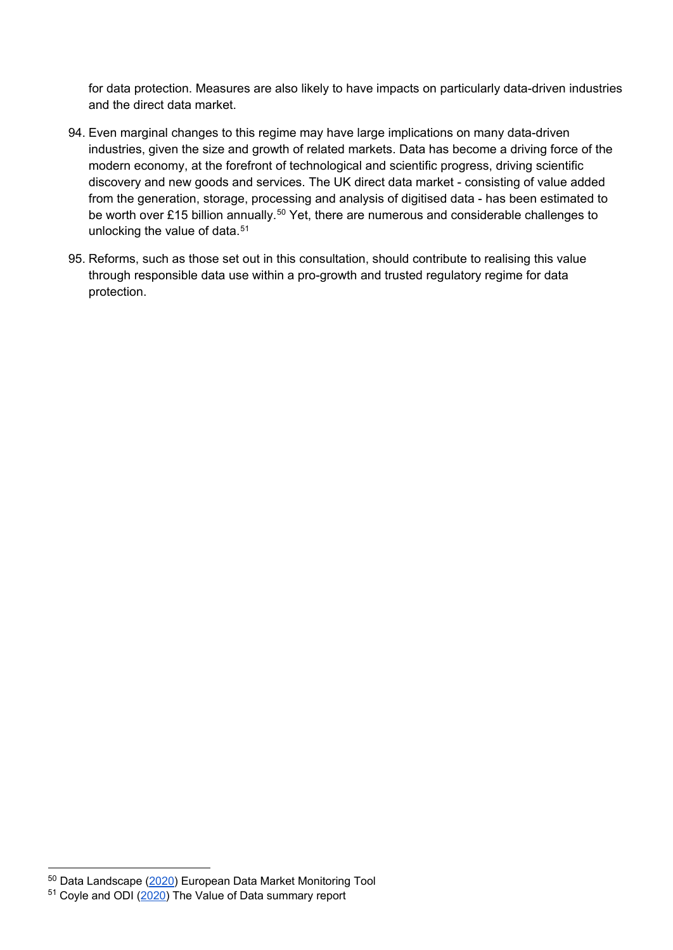for data protection. Measures are also likely to have impacts on particularly data-driven industries and the direct data market.

- 94. Even marginal changes to this regime may have large implications on many data-driven industries, given the size and growth of related markets. Data has become a driving force of the modern economy, at the forefront of technological and scientific progress, driving scientific discovery and new goods and services. The UK direct data market - consisting of value added from the generation, storage, processing and analysis of digitised data - has been estimated to be worth over £15 billion annually.<sup>[50](#page-25-0)</sup> Yet, there are numerous and considerable challenges to unlocking the value of data.<sup>[51](#page-25-1)</sup>
- 95. Reforms, such as those set out in this consultation, should contribute to realising this value through responsible data use within a pro-growth and trusted regulatory regime for data protection.

<span id="page-25-0"></span> <sup>50</sup> Data Landscape [\(2020\)](https://datalandscape.eu/study-reports/final-study-report-european-data-market-monitoring-tool-key-facts-figures-first-policy) European Data Market Monitoring Tool

<span id="page-25-1"></span><sup>51</sup> Coyle and ODI [\(2020\)](https://www.bennettinstitute.cam.ac.uk/media/uploads/files/Value_of_data_summary_report_26_Feb.pdf) The Value of Data summary report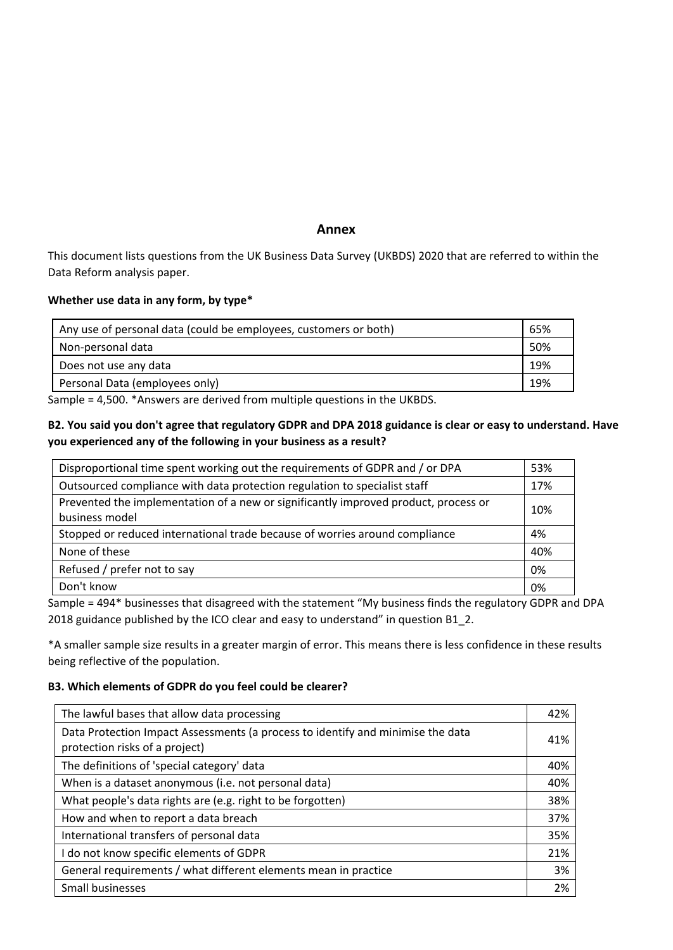#### **Annex**

This document lists questions from the UK Business Data Survey (UKBDS) 2020 that are referred to within the Data Reform analysis paper.

#### **Whether use data in any form, by type\***

| Any use of personal data (could be employees, customers or both) |     |
|------------------------------------------------------------------|-----|
| Non-personal data                                                | 50% |
| Does not use any data                                            | 19% |
| Personal Data (employees only)                                   | 19% |

Sample = 4,500. \*Answers are derived from multiple questions in the UKBDS.

#### **B2. You said you don't agree that regulatory GDPR and DPA 2018 guidance is clear or easy to understand. Have you experienced any of the following in your business as a result?**

| Disproportional time spent working out the requirements of GDPR and / or DPA        |     |  |
|-------------------------------------------------------------------------------------|-----|--|
| Outsourced compliance with data protection regulation to specialist staff           |     |  |
| Prevented the implementation of a new or significantly improved product, process or | 10% |  |
| business model                                                                      |     |  |
| Stopped or reduced international trade because of worries around compliance         |     |  |
| None of these                                                                       | 40% |  |
| Refused / prefer not to say                                                         | 0%  |  |
| Don't know                                                                          | 0%  |  |
|                                                                                     |     |  |

Sample = 494\* businesses that disagreed with the statement "My business finds the regulatory GDPR and DPA 2018 guidance published by the ICO clear and easy to understand" in question B1\_2.

\*A smaller sample size results in a greater margin of error. This means there is less confidence in these results being reflective of the population.

#### **B3. Which elements of GDPR do you feel could be clearer?**

| The lawful bases that allow data processing                                                                       | 42% |
|-------------------------------------------------------------------------------------------------------------------|-----|
| Data Protection Impact Assessments (a process to identify and minimise the data<br>protection risks of a project) |     |
| The definitions of 'special category' data                                                                        | 40% |
| When is a dataset anonymous (i.e. not personal data)                                                              | 40% |
| What people's data rights are (e.g. right to be forgotten)                                                        | 38% |
| How and when to report a data breach                                                                              | 37% |
| International transfers of personal data                                                                          | 35% |
| I do not know specific elements of GDPR                                                                           | 21% |
| General requirements / what different elements mean in practice                                                   | 3%  |
| Small businesses                                                                                                  | 2%  |